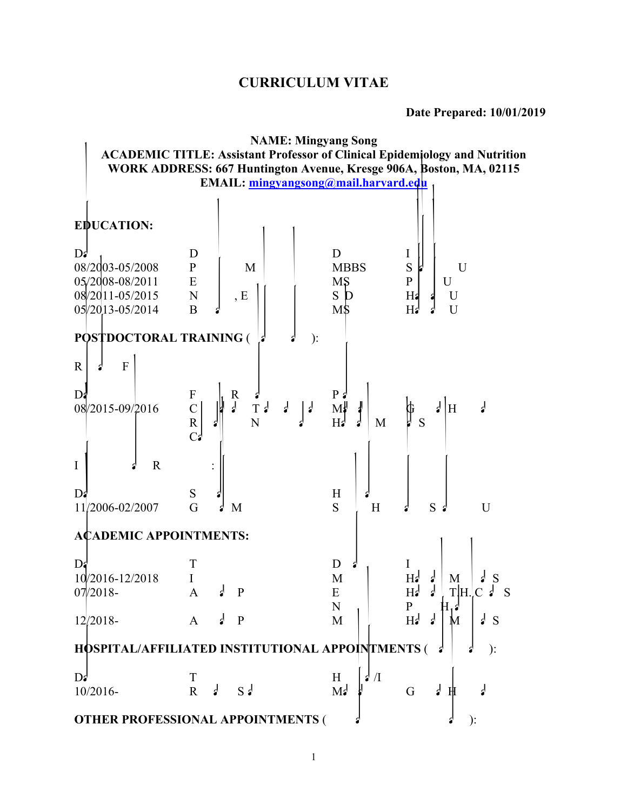# **CURRICULUM VITAE**

|                                 | <b>NAME: Mingyang Song</b>                                                        |                                        |                                            |  |  |
|---------------------------------|-----------------------------------------------------------------------------------|----------------------------------------|--------------------------------------------|--|--|
|                                 | <b>ACADEMIC TITLE: Assistant Professor of Clinical Epidemiology and Nutrition</b> |                                        |                                            |  |  |
|                                 | WORK ADDRESS: 667 Huntington Avenue, Kresge 906A, Boston, MA, 02115               |                                        |                                            |  |  |
|                                 | EMAIL: mingyangsong@mail.harvard.edu                                              |                                        |                                            |  |  |
|                                 |                                                                                   |                                        |                                            |  |  |
| <b>EDUCATION:</b>               |                                                                                   |                                        |                                            |  |  |
|                                 |                                                                                   |                                        |                                            |  |  |
| $\mathbf{D}$                    | D                                                                                 | D                                      | 1                                          |  |  |
| 08/2003-05/2008                 | ${\bf P}$<br>M                                                                    | <b>MBBS</b>                            | S<br>U                                     |  |  |
| 05/2008-08/2011                 | ${\bf E}$                                                                         | MŞ                                     | $\mathbf P$<br>U                           |  |  |
| 08/2011-05/2015                 | $\mathbf N$<br>, E                                                                | ${\bf S}$                              | Ha<br>U                                    |  |  |
| 05/2013-05/2014                 | $\overline{B}$                                                                    | $M\$                                   | H <sub>3</sub><br>U                        |  |  |
|                                 |                                                                                   |                                        |                                            |  |  |
| <b>POSTDOCTORAL TRAINING (</b>  | $\mathbf{)}$ :                                                                    |                                        |                                            |  |  |
| ${\bf F}$<br>$\mathbb{R}$<br>ď  |                                                                                   |                                        |                                            |  |  |
| D:                              | F<br>$\mathbf R$                                                                  | $P_3$                                  |                                            |  |  |
| 08/2015-09/2016                 | $\frac{1}{2}$<br>$T \nvert$<br>$\vert$ :<br>$\frac{1}{2}$<br>$\mathsf{C}$         | $M^{\parallel}$                        | $\frac{1}{2}$<br>₫<br>H                    |  |  |
|                                 | $\overline{N}$<br>${\bf R}$                                                       | $H_2$<br>M                             | S                                          |  |  |
|                                 | $C^{\prime}$                                                                      |                                        |                                            |  |  |
|                                 |                                                                                   |                                        |                                            |  |  |
| $\mathbf I$<br>$\mathbf R$      |                                                                                   |                                        |                                            |  |  |
|                                 |                                                                                   |                                        |                                            |  |  |
| $\mathbf{D}$<br>11/2006-02/2007 | S<br>G<br>M                                                                       | H<br>S<br>H                            | S<br>U                                     |  |  |
|                                 |                                                                                   |                                        |                                            |  |  |
| <b>ACADEMIC APPOINTMENTS:</b>   |                                                                                   |                                        |                                            |  |  |
|                                 |                                                                                   |                                        |                                            |  |  |
| $\mathbf{D}$                    | Τ                                                                                 | D                                      | Ι                                          |  |  |
| 10/2016-12/2018                 |                                                                                   | M                                      | $H_2$<br>₫<br>M<br><sub>S</sub>            |  |  |
| $07/2018-$                      | $\mathbf{r}$<br>$\mathbf{P}$<br>A                                                 | ${\bf E}$                              | T H C<br>H<br>S                            |  |  |
|                                 | Ļ<br>$\mathbf{P}$                                                                 | N                                      | ${\bf P}$<br>$H^{\prime}$<br>$\frac{1}{2}$ |  |  |
| $12/2018-$                      | $\mathbf{A}$                                                                      | M                                      | M<br>$\frac{1}{2}$ S                       |  |  |
|                                 | HOSPITAL/AFFILIATED INSTITUTIONAL APPOINTMENTS (                                  |                                        | $\mathbf{).}$                              |  |  |
|                                 |                                                                                   |                                        |                                            |  |  |
| $\mathbf{D}$                    | T                                                                                 | $\mathbf{z}^{\dagger}/\mathbf{I}$<br>H |                                            |  |  |
| 10/2016-                        | $\frac{1}{2}$<br>$S_2$<br>$\mathbf R$                                             | M <sub>2</sub>                         | $\overline{a}$<br>G<br>H                   |  |  |
|                                 |                                                                                   |                                        |                                            |  |  |
|                                 | <b>OTHER PROFESSIONAL APPOINTMENTS (</b>                                          |                                        | ):                                         |  |  |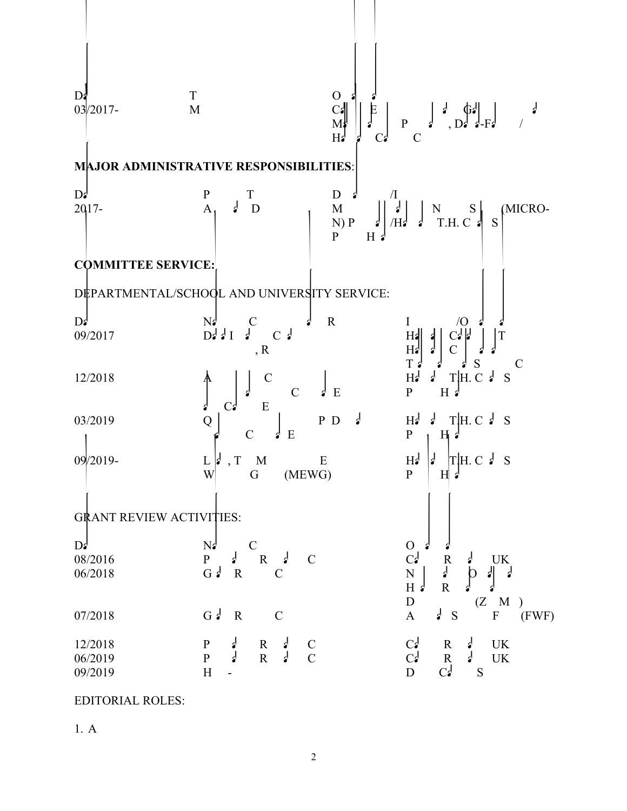Dates Title Organization 03/2017- Member Cancer Epidemiology and Gastrointestinal Malignancies Programs, Dana-Farber / Harvard Cancer Center **MAJOR ADMINISTRATIVE RESPONSIBILITIES**: Dates Position Title Department/Institution 2017- Assistant Director Microbiome among Nurses Study (MICRO-N) Program/Harvard T.H. Chan School of Public Health **COMMITTEE SERVICE:** DEPARTMENTAL/SCHOOL AND UNIVERSITY SERVICE: Dates Name of Committee and Role Institution/Organization 09/2017 Data Ideation Challenge review committee, Reviewer Harvard Catalyst | The Harvard Clinical and Translational Science Center 12/2018 Admissions Committee for the concentrations of Clinical Epidemiology and Cancer Epidemiology Harvard T.H. Chan School of Public Health 03/2019 Question writer for the PhD qualifying exam in Clinical Epidemiology Harvard T.H. Chan School of Public Health 09/2019- Lead, The Microbiome Epidemiology Working Group (MEWG) Harvard T.H. Chan School of Public Health GRANT REVIEW ACTIVITIES: Dates Name of Committee Organization 08/2016 Population Research Committee Cancer Research UK 06/2018 Grant Review Committee Netherlands Organisation for Health Research and Development (ZonMw) 07/2018 Grant Review Committee Austrian Science Fund (FWF) 12/2018 Population Research Committee Cancer Research UK 06/2019 Population Research Committee Cancer Research UK 09/2019 High-risk project committee Dutch Cancer Society

EDITORIAL ROLES:

 $1. A$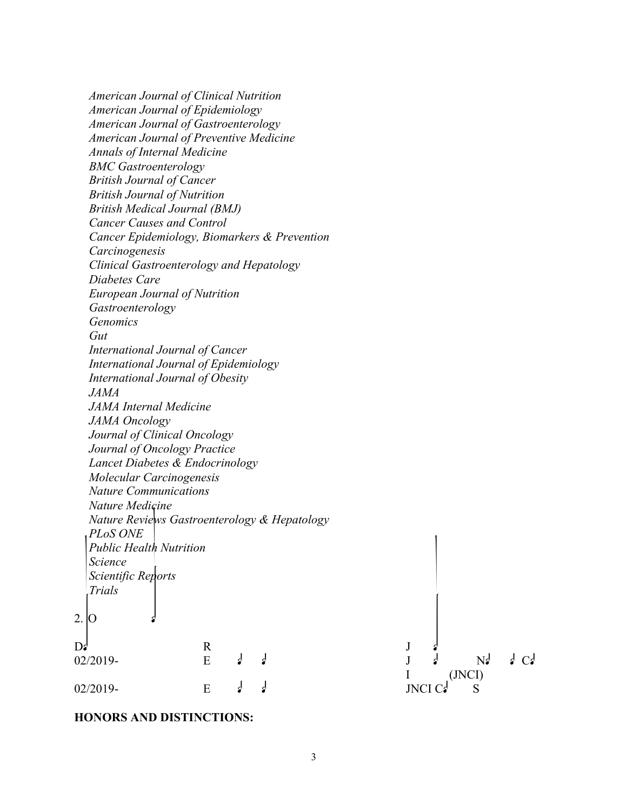*American Journal of Clinical Nutrition American Journal of Epidemiology American Journal of Gastroenterology American Journal of Preventive Medicine Annals of Internal Medicine BMC Gastroenterology British Journal of Cancer British Journal of Nutrition British Medical Journal (BMJ) Cancer Causes and Control Cancer Epidemiology, Biomarkers & Prevention Carcinogenesis Clinical Gastroenterology and Hepatology Diabetes Care European Journal of Nutrition Gastroenterology Genomics Gut International Journal of Cancer International Journal of Epidemiology International Journal of Obesity JAMA JAMA Internal Medicine JAMA Oncology Journal of Clinical Oncology Journal of Oncology Practice Lancet Diabetes & Endocrinology Molecular Carcinogenesis Nature Communications Nature Medicine Nature Reviews Gastroenterology & Hepatology PLoS ONE Public Health Nutrition Science Scientific Reports Trials*  $2.$  O  $D_s$  R J  $d$ 02/2019- Editorial Board Journal Description of the National Board Description of the National Order of the N I (JNCI) 02/2019- Editorial Board JNCI Cancer Spectrum Board Spectrum Spectrum Spectrum Spectrum Spectrum Spectrum Spectrum Spectrum Spectrum Spectrum Spectrum Spectrum Spectrum Spectrum Spectrum Spectrum Spectrum Spectrum Spectru

#### **HONORS AND DISTINCTIONS:**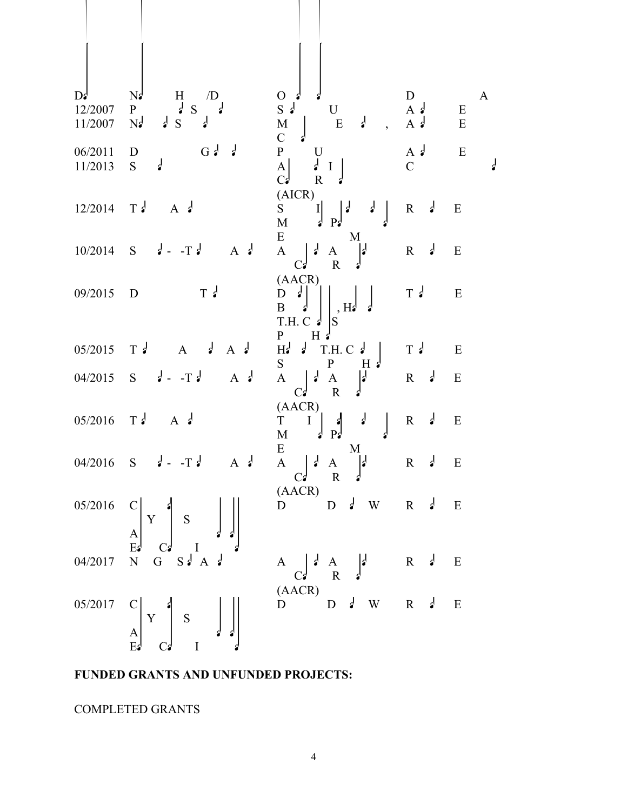| $\mathbf{D}$<br>12/2007<br>11/2007 | N <sub>2</sub><br>H<br>$\sqrt{D}$<br>$\frac{1}{2}S$ $\frac{1}{2}$<br>P<br>$\frac{1}{2}$<br>$\frac{1}{2}$ S<br>N <sub>2</sub>             | $O \frac{d}{2}$<br>$S \nvert U$<br>$\frac{1}{2}$<br>$\begin{bmatrix} M \\ C & \mathfrak{s} \end{bmatrix}$<br>E<br>$\overline{\phantom{a}}$                                                                                                                                                                                                   | D<br>$A \neq$<br>$A \neq$   | $\mathbf{A}$<br>${\bf E}$<br>${\bf E}$ |
|------------------------------------|------------------------------------------------------------------------------------------------------------------------------------------|----------------------------------------------------------------------------------------------------------------------------------------------------------------------------------------------------------------------------------------------------------------------------------------------------------------------------------------------|-----------------------------|----------------------------------------|
| 06/2011<br>11/2013                 | $G \nmid \nmid$<br>D<br>$\frac{1}{2}$<br>$S_{\text{}}$                                                                                   | $\begin{bmatrix} P \\ A \\ C \end{bmatrix}$<br>$\begin{array}{c} \mathtt{U} \\ \mathtt{J} \hspace{0.1cm} \mathtt{I} \end{array}$<br>$\overline{R}$                                                                                                                                                                                           | A $\epsilon$<br>$\mathbf C$ | ${\bf E}$<br>$\frac{1}{2}$             |
| $12/2014$ T.                       | $A \cdot \mathbf{z}$                                                                                                                     | (AICR)<br>S $I \rvert P^2$<br>$\frac{1}{2}$                                                                                                                                                                                                                                                                                                  | $R \downarrow$              | ${\bf E}$                              |
|                                    | $10/2014$ S $d - Td$<br>A $\epsilon$                                                                                                     | $E -$<br>M<br>$A \mid d$<br>$\begin{array}{cc} A & \rightarrow \\ R & \rightarrow \end{array}$<br>$C_2$                                                                                                                                                                                                                                      | $R \frac{d}{2}$             | E                                      |
| 09/2015                            | $T \cdot$<br>$\mathbf D$                                                                                                                 | (AACR)<br>$\begin{bmatrix} 1 & 1 \\ B & 1 \\ C & 1 \end{bmatrix}$<br>T.H. C $\frac{1}{s}$<br>$\mathbf{H}$                                                                                                                                                                                                                                    | $T \cdot$                   | ${\bf E}$                              |
| 05/2015                            | $\frac{1}{2}$<br>$T \frac{d}{ }$<br>A $\epsilon$<br>$\mathbf{A}$                                                                         | $P$ H $d$<br>$H_2 \rightarrow$<br>$T.H.C \neq$                                                                                                                                                                                                                                                                                               | $T \frac{d}{ }$             | E                                      |
| 04/2015                            | $d - Td$<br>$A \cdot \mathbf{A}$<br>S                                                                                                    | $S_{-}$<br>$\mathbf{P}$<br>$H \phi$<br>A $C_3$ $\begin{bmatrix} 1 & A & A \\ & R & 1 \end{bmatrix}$                                                                                                                                                                                                                                          | $R \downarrow$              | E                                      |
| $05/2016$ T:                       | $A \cdot \mathbf{A}$                                                                                                                     | (AACR)<br>$\begin{bmatrix} \Gamma & I \\ M & I \end{bmatrix} \begin{bmatrix} \mathbf{s} \\ P_{\mathbf{s}} \end{bmatrix}$<br>$\frac{1}{2}$                                                                                                                                                                                                    | $R \frac{d}{2}$             | E                                      |
| 04/2016                            | $S \qquad \qquad \downarrow -T \qquad \downarrow$<br>A $\epsilon$                                                                        | E<br>M<br>$A \begin{bmatrix} 1 & A \\ C \end{bmatrix}$                                                                                                                                                                                                                                                                                       | $R \cdot d$                 | E                                      |
|                                    | 05/2016 $C \begin{bmatrix} C \\ A \\ B \end{bmatrix} Y \begin{bmatrix} 1 \\ 1 \\ 1 \end{bmatrix}$ S                                      | (AACR)<br>$D$ $D$ $d$ W R $d$ E                                                                                                                                                                                                                                                                                                              |                             |                                        |
| 04/2017                            | N G S A A $\sim$                                                                                                                         | $\begin{array}{ccc}\nA & \begin{array}{ccc}\nA & \begin{array}{ccc}\nA & \begin{array}{ccc}\nA & \end{array} & A \\ (AACR) \\ D & D\n\end{array}\n\end{array}\n\end{array}\n\end{array}\n\begin{array}{ccc}\nR & \begin{array}{ccc}\nA & \begin{array}{ccc}\nA & \end{array} & E \\ R & \begin{array}{ccc}\nA & E\n\end{array}\n\end{array}$ |                             |                                        |
|                                    | 05/2017 C<br>$\begin{bmatrix} 1 \ 2 \end{bmatrix}$ Y<br>$\begin{bmatrix} 1 \ 2 \end{bmatrix}$ S<br>$\begin{bmatrix} 1 \ 2 \end{bmatrix}$ |                                                                                                                                                                                                                                                                                                                                              |                             |                                        |

### **FUNDED GRANTS AND UNFUNDED PROJECTS:**

COMPLETED GRANTS

 $\mathbb{R}$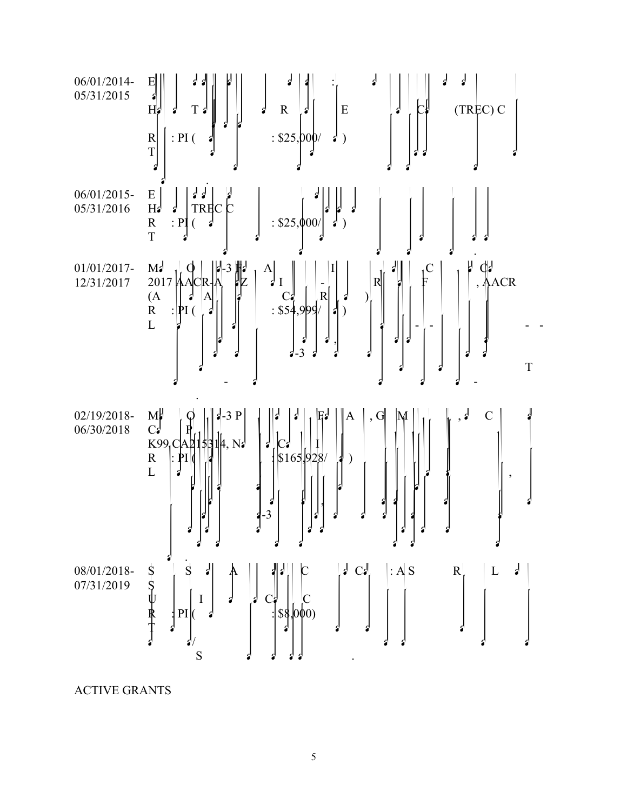

ACTIVE GRANTS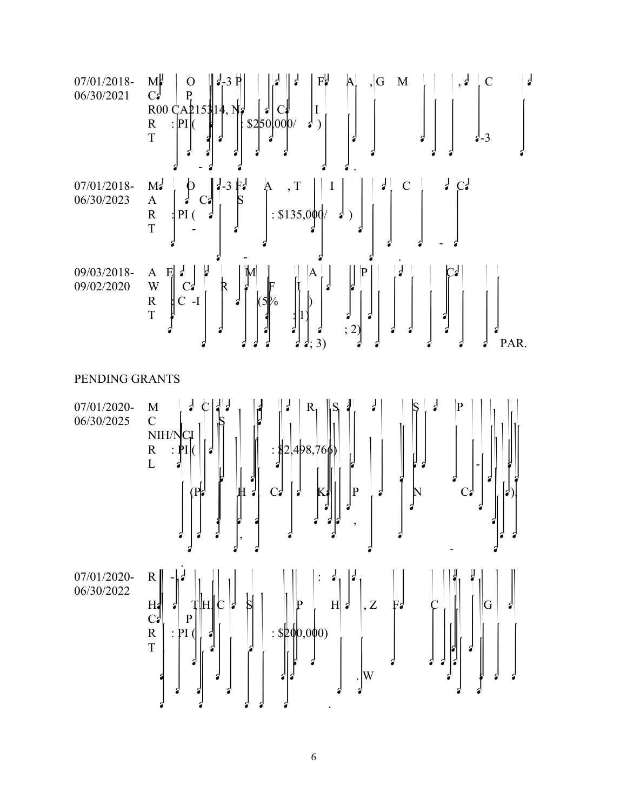



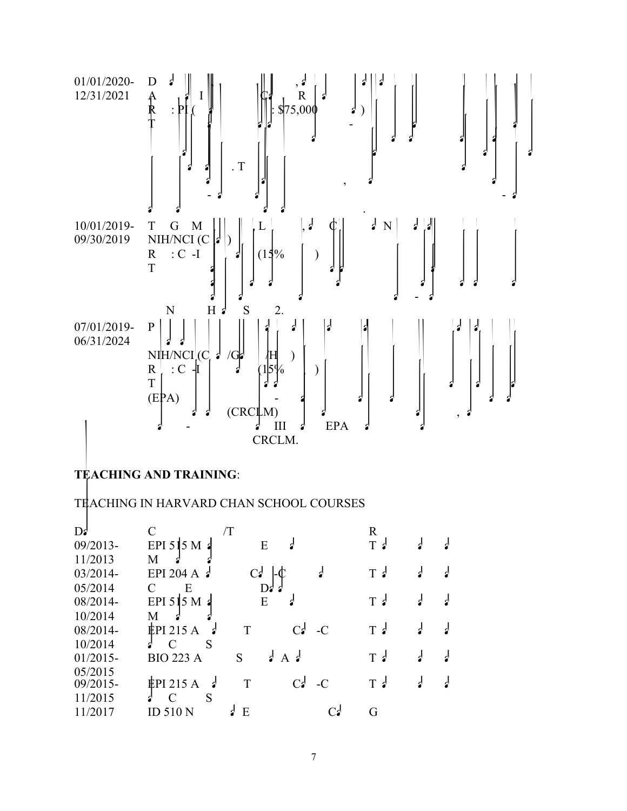

## **TEACHING AND TRAINING**:

#### TEACHING IN HARVARD CHAN SCHOOL COURSES

| $\mathbf{D}^{\mathbf{d}}$ |                                  | /T              |                 |   | R              |   |  |
|---------------------------|----------------------------------|-----------------|-----------------|---|----------------|---|--|
| 09/2013-                  | EPI 515 M a                      | E               |                 |   | $T \cdot$      | ₫ |  |
| 11/2013                   | M                                |                 |                 |   |                |   |  |
| $03/2014-$                | EPI 204 A $\epsilon$             | $C_{\bullet}$   |                 | d | T <sub>2</sub> | ₫ |  |
| 05/2014                   | Ε<br>C                           |                 | $D_{2}$         |   |                |   |  |
| 08/2014-                  | EPI 515 M $\alpha$               | E               |                 |   | $T_2$          | ₫ |  |
| 10/2014                   | M                                |                 |                 |   |                |   |  |
| 08/2014-                  | $EPI$ 215 A                      | T               | $C_2$ -C        |   | T <sub>2</sub> | ₫ |  |
| 10/2014                   | S<br>$\Gamma$                    |                 |                 |   |                |   |  |
| $01/2015 -$               | <b>BIO 223 A</b>                 | S               | $\int$ A $\int$ |   | $T_2$          | ₫ |  |
| 05/2015                   |                                  |                 |                 |   |                |   |  |
| 09/2015-                  | $EPI$ 215 A<br>- 2               | T               | $C_2$ -C        |   | $T_2$          | ₫ |  |
| 11/2015                   | S<br>$\mathcal{C}_{\mathcal{C}}$ |                 |                 |   |                |   |  |
| 11/2017                   | <b>ID 510 N</b>                  | $\frac{1}{2}$ E |                 |   | G              |   |  |
|                           |                                  |                 |                 |   |                |   |  |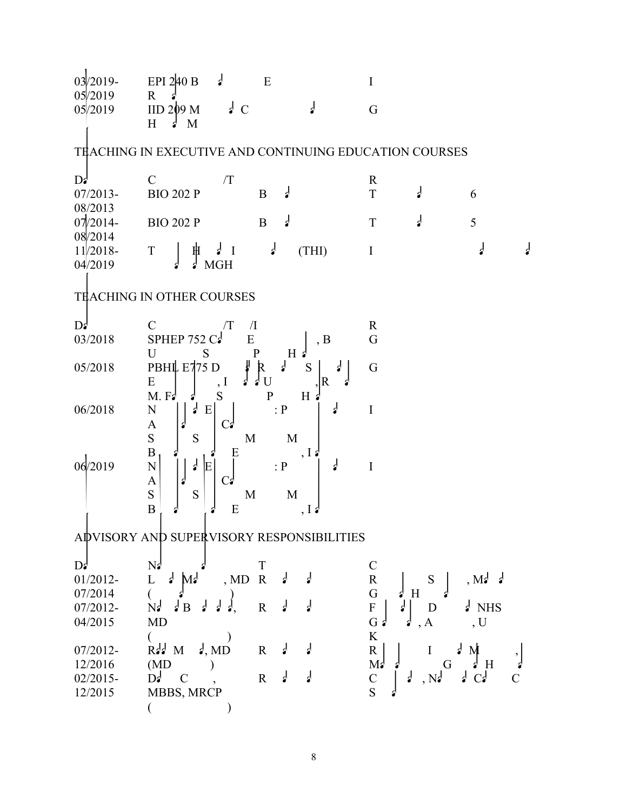03/2019- 05/2019 EPI 2 $\frac{1}{2}$  E<br>
R<sup>3</sup><br>
IID 209 M<sub>3</sub> C<sub>3</sub> G  $\frac{0.05}{2019}$  IID 209 M d C d G TEACHING IN EXECUTIVE AND CONTINUING EDUCATION COURSES  $D$ s Course Course number  $R$ 07/2013- 08/2013 BIO 202 P B  $\downarrow$  T  $\downarrow$  6  $07/2014-$ 08/2014 BIO 202 P B  $\downarrow$  T  $\downarrow$  5 11/2018- 04/2019  $T \begin{bmatrix} \# & A & I & A \end{bmatrix}$  (THI) program at  $A$ TEACHING IN OTHER COURSES  $D$ s Course Course number  $\overline{I}$  Institution Responsibility Responsibility Responsibility Responsibility Responsibility Responsibility Responsibility Responsibility Responsibility Responsibility Responsibility Responsib 03/2018 SPHEP 752 Cancer Equation Bubblic Letter School of Public Health Guest Lecture School of Public Health Guest Lecture School of Public Health Guest Lecture School of Public School of Public Health Guest Lecture Sch 05/2018 PBHL E775 D  $\begin{bmatrix} R & d & S \\ E & I & I \end{bmatrix}$ PBHL E775 D<br>
E<br>
M. Fa  $\begin{bmatrix} 1 & 1 \\ 1 & 1 \end{bmatrix}$  B  $\begin{bmatrix} 1 & 1 \\ 1 & 1 \end{bmatrix}$  R  $\begin{bmatrix} 1 \\ 1 \end{bmatrix}$  G 06/2018 N  $\begin{bmatrix} d & E \\ H & H & H \end{bmatrix}$  : P  $\begin{bmatrix} d & A \\ H & H & H \end{bmatrix}$ A  $\vert \cdot \vert$   $\vert$  C $\vert$  $\begin{bmatrix} \nN \\
A \\
S \\
B\n\end{bmatrix}$  on  $\begin{bmatrix} \nA & E \\
S & E\n\end{bmatrix}$   $\begin{bmatrix} C_{\epsilon} & \cdot & P \\
C_{\epsilon} & M & M \\
E & M & M\n\end{bmatrix}$   $\begin{bmatrix} \nA & I \\
I & I\n\end{bmatrix}$  $06/2019$  N J F C P<sup>1</sup>  $A \cup A \cup C_2$  $\begin{bmatrix} \nN \\
A \\
S \\
B\n\end{bmatrix}$   $\begin{bmatrix} \n\frac{1}{2} & \nE \\
S \\
S\n\end{bmatrix}$   $\begin{bmatrix} C_{\epsilon} \\
C_{\epsilon} \\
N \\
E\n\end{bmatrix}$   $\begin{bmatrix} P \\
M \\
N \\
I\n\end{bmatrix}$   $\begin{bmatrix} \n\frac{1}{2} & I \\
\frac{1}{2} & I\n\end{bmatrix}$ ADVISORY AND SUPERVISORY RESPONSIBILITIES  $D_s$  of trainees  $N_s$  and  $T$  current position  $C$ 01/2012- 07/2014 L  $\int M_s$ , MD R  $\begin{array}{ccc} \text{L} & \text{d} & \text{M} & \text{d} & \text{N} \text{D} & \text{R} & \text{d} & \text{R} \\ \text{(c)} & \text{c)} & \text{N} & \text{G} & \text{H} & \text{d} \end{array}$ 07/2012- 04/2015  $N<sub>e</sub>$   $\downarrow$  B  $\downarrow$  d  $\downarrow$ MD  $($ Research advising Foundation Doctor at NHS Generalism  $G \stackrel{d}{\bullet} \stackrel{d}{\bullet}$   $\begin{array}{c} D \\ A \\ D \end{array}$  $\rm K$ 07/2012- 12/2016  $Rd$  Mehta, MD  $(MD)$  $R = \begin{bmatrix} 1 & 1 & 1 \ 1 & 1 & 1 \ 1 & 1 & 1 \ 1 & 1 & 1 \ 1 & 1 & 1 \ 1 & 1 & 1 \ 1 & 1 & 1 \end{bmatrix}$ 02/2015- 12/2015  $D^{\frac{1}{2}}$  C MBBS, MRCP  $($  $\begin{array}{ccc} \mathsf{R} & \mathsf{d} & \mathsf{d} \\ \mathsf{d} & \mathsf{c} & \mathsf{c} \\ \mathsf{S} & \mathsf{d} & \mathsf{S} \end{array}$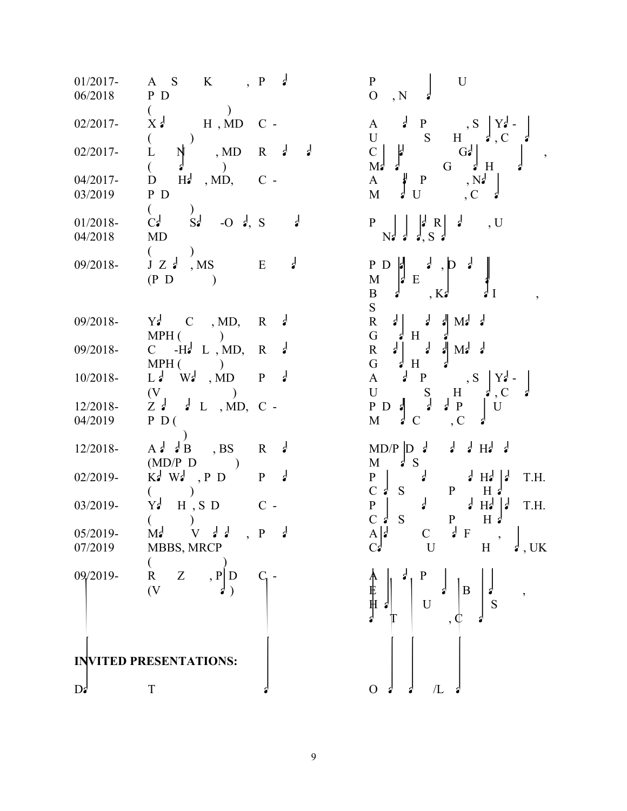01/2017- 06/2018 ASK,  $P \downarrow$ P<sub>D</sub>  $($ 02/2017-  $X\neq$  H, MD C - $\begin{pmatrix} 1 & 1 \\ 0 & 1 \end{pmatrix}$ 02/2017- L  $\dot{N}$  , MD 04/2017- 03/2019  $D$  Ha , MD, C -P<sub>D</sub>  $\begin{array}{c} \begin{array}{c} C \\ C \end{array} \end{array}$ 01/2018- 04/2018  $S_d$  -O  $d, S$ MD  $\begin{array}{c} (c) \\ J Z \end{array}$ 09/2018- J Z  $\frac{1}{2}$ , MS  $(P D)$ 09/2018- Yawah C, MD,  $MPH$  () 09/2018- C  $-H<sub>a</sub><sup>-</sup>$  L, MD,  $MPH$  ()  $10/2018$ - L<sub>i</sub> W<sub>i</sub>, MD  $(V \t\t V)$ 12/2018- 04/2019  $Z \neq L$ , MD, C- $P_{D}$  ( student)  $12/2018$ - Add B, BS  $(MD/P\ D)$ 02/2019-  $\hat{K}$ d Wd, PD  $($ 03/2019- Y<sub>2</sub> H, SD  $($ 05/2019- 07/2019  $M_d$  V  $d$  P MBBS, MRCP  $($ 09/2019- R Z , P D **INVITED PRESENTATIONS:**  $D$ s Title or topic organization or topic organization  $O$  state of  $\Lambda$  and  $\Lambda$ 

 $\begin{array}{ccc} P & d \\ & P \\ & O & , N \end{array}$  U C-<br>U  $A$   $\downarrow$  P, S  $Y$  $\downarrow$  -<br>U S H  $\downarrow$  C  $\downarrow$ (clinical fellow) Research advising Clinical fellow of Gastroenterology, Massachusetts General Hospital  $\begin{array}{c} \nA \nA \nM \nA \nU \nC \n\end{array}$ S d P<sub>Ns</sub>  $\begin{bmatrix} \begin{bmatrix} \begin{bmatrix} \begin{bmatrix} \begin{bmatrix} \begin{bmatrix} \begin{bmatrix} \begin{bmatrix} \text{I} & \text{R} \\ \text{R} \text{I} & \text{S} \end{bmatrix} \end{bmatrix} & \begin{bmatrix} \text{J} & \text{R} \\ \text{S} & \text{I} \end{bmatrix} & \begin{bmatrix} \text{J} & \text{U} \end{bmatrix} \\ \text{N} \end{bmatrix} & \begin{bmatrix} \text{N} & \text{N} \end{bmatrix} & \begin{bmatrix} \text{N} & \text{N} \end{bmatrix} & \$ E d<br>  $\begin{array}{c|c|c|c|c} \n\hline\n & & & \text{P} & \mid & \text{P} & \mid & \text{P} & \mid & \text{P} & \mid & \text{P} & \mid & \text{P} & \mid & \text{P} & \mid & \text{P} & \mid & \text{P} & \mid & \text{P} & \mid & \text{P} & \mid & \text{P} & \mid & \text{P} & \mid & \text{P} & \mid & \text{P} & \mid & \text{P} & \mid & \text{P} & \mid & \text{P} & \mid & \text{P} & \mid & \text{P} & \mid & \text{P} & \mid & \text$  $S<sub>g</sub>$ Research mentor Research staff at Massachusetts General Hospital  $R = \begin{bmatrix} R & d \\ G & d & H \end{bmatrix}$  at  $\begin{bmatrix} R & d \\ H & d \end{bmatrix}$  Massachusetts General Hospital Hospital Hospital Hospital Hospital Hospital Hospital Hospital Hospital Hospital Hospital Hospital Hospital Hospital Hospital Hospital Hosp P<sub>d</sub> A<sub>d</sub>P<sub>, S</sub> $\begin{bmatrix} Y_d^1 - \\ Y_d^2 - \\ U & S & H \end{bmatrix}$  $\begin{array}{ccc} \n\text{C} - \text{P} & \text{P} & \text{P} & \text{P} \\ \n& \text{M} & \text{C} & \text{C} \n\end{array}$ Research  $M_D/P \begin{bmatrix} D & d & d & d & Hd & d \\ N & & S & & S \end{bmatrix}$ P d Post Post d $P$  d Harvard T.H. C -  $P \begin{matrix} P \ 0 \end{matrix}$  S  $P \begin{matrix} \frac{1}{2} & \frac{1}{2} \\ \frac{1}{2} & \frac{1}{2} \end{matrix}$  H<sub>a</sub> $\begin{matrix} \frac{1}{2} & \frac{1}{2} \\ \frac{1}{2} & \frac{1}{2} \end{matrix}$  T.H.  $\begin{bmatrix} P & \mathcal{J} & \mathcal{A} & \mathcal{A} \\ \mathcal{C} & \mathcal{C} & \mathcal{A} & \mathcal{B} \\ \mathcal{C} & \mathcal{A} & \mathcal{B} & \mathcal{B} \end{bmatrix}$ RZ,  $\begin{bmatrix} P & D & C \\ P \end{bmatrix}$  C -<br>  $\begin{bmatrix} \uparrow & \uparrow \\ \uparrow & \downarrow \\ \downarrow & \uparrow \end{bmatrix}$   $\begin{bmatrix} P & \downarrow \\ U & \downarrow \\ U & \downarrow \end{bmatrix}$   $\begin{bmatrix} B & \downarrow \\ S & \downarrow \end{bmatrix}$  s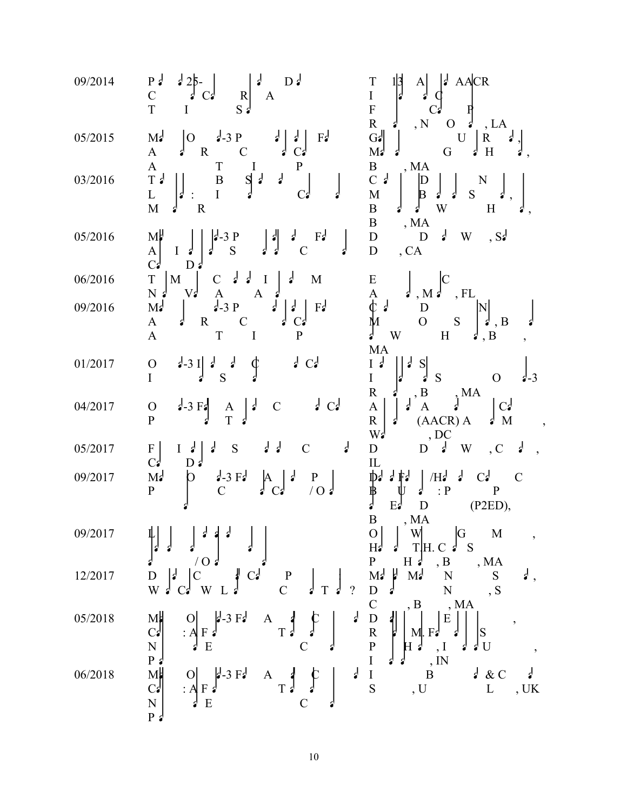| 09/2014 | $D_3$<br>$P_3$<br>$125-$<br>$\overline{C}$<br>$\vert R \vert$<br>C <sub>3</sub><br>A<br>T<br>$S \nvert$<br>$\mathbf{I}$                                                                                                                                                             | AACR<br>T<br> A <br>$\overline{I}$<br>$\overline{\mathrm{F}}$<br>$\overline{\text{R}}$<br>$\frac{1}{2}$<br>, N<br>$\mathbf O$<br>, LA<br>d                                                                                                                                                                                                             |
|---------|-------------------------------------------------------------------------------------------------------------------------------------------------------------------------------------------------------------------------------------------------------------------------------------|--------------------------------------------------------------------------------------------------------------------------------------------------------------------------------------------------------------------------------------------------------------------------------------------------------------------------------------------------------|
| 05/2015 | $\begin{bmatrix} 0 & \frac{1}{2} & -3 \\ 9 & -3 & -9 \\ 1 & -3 & -9 \\ 1 & -3 & -9 \\ 1 & -3 & -9 \end{bmatrix}$<br>$F^{\prime}$<br>M <sub>2</sub><br>$\mathcal{C}$<br>$\mathbf R$<br>$\mathbf{A}$<br>$\mathbf{r}$                                                                  | $G\bullet$<br>U<br>$\mathbf{R}$<br>M <sub>2</sub><br>G<br>H<br>₫                                                                                                                                                                                                                                                                                       |
| 03/2016 | $\mathbf T$<br>$\mathbf{P}$<br>$\mathbf{A}$<br>$\mathbf I$<br>$\, {\bf B}$<br>$S \mid d$<br>$\frac{1}{2}$<br>$\begin{bmatrix} 1 \\ 1 \end{bmatrix}$<br>$\mathbf I$<br>C <sub>3</sub><br>M<br>$\mathbf R$<br>ď                                                                       | $\begin{array}{c} \mathbf{B}\\ \mathbf{C} \end{array}$<br>, MA<br>N<br>$\mathbb D$<br>$\mathbf{M}$<br>${\bf S}$<br>B<br>$\, {\bf B}$<br>W<br>H<br>₫                                                                                                                                                                                                    |
| 05/2016 | M<br>F <sub>2</sub><br>₫<br>$-3$ P<br>$\overline{S}$<br>$\begin{bmatrix} A \\ C \\ \end{bmatrix}$<br>$I \bullet$<br>C<br>ୖ<br>D <sub>d</sub>                                                                                                                                        | $\, {\bf B}$<br>, ${\rm MA}$<br>$\frac{1}{2}$<br>, S <sub>2</sub><br>${\bf D}$<br>W<br>$\mathbf D$<br>$\overline{D}$<br>, CA                                                                                                                                                                                                                           |
| 06/2016 | $\begin{array}{c}\nT \\ N\n\end{array}$<br>$\frac{1}{2}$<br>$\mathbf M$<br>₫<br>$\mathbf C$<br>$\mathbf{I}$<br>M<br>$V_2$                                                                                                                                                           | ${\bf E}$                                                                                                                                                                                                                                                                                                                                              |
| 09/2016 | $\mathbf{A}$<br>$\mathbf{A}$<br>d<br>$\frac{1}{2}$<br>$\frac{1}{2}$ -3 P<br>$\overline{\cdot}$<br>M <sub>2</sub><br>F <sub>3</sub><br>$\frac{1}{2}$<br>$\mathbf R$<br>$\mathbf C$<br>$\mathbf{A}$<br>C <sub>3</sub><br>ď<br>$\, {\bf P}$<br>$\mathbf T$<br>$\mathbf{A}$<br>$\bf{I}$ | $\bf{A}$<br>, $\rm FL$<br>$, M \nightharpoonup$<br>$\phi$ ?<br>${\bf D}$<br>$\overline{O}$<br>${\bf S}$<br>, B<br>W<br>H<br>, B<br>ď                                                                                                                                                                                                                   |
| 01/2017 | $\frac{1}{2}$<br>C <sub>2</sub><br>$\mathbf{r}$<br>$\mathbf{r}$<br>$2 - 3$ I<br>$\mathcal{O}$<br>$\mathbf I$<br>S                                                                                                                                                                   | MA<br>$\begin{bmatrix} 1 \\ 1 \end{bmatrix}$<br>$\vert$ S $\vert$<br>S<br>$\mathbf{O}$<br>$4 - 3$<br>$\mathbf R$<br>, B                                                                                                                                                                                                                                |
| 04/2017 | $\int C$<br>$3 - 3 F_2$<br>$\epsilon$<br>$\mathbf O$<br>$\mathcal{C}$<br>$\frac{\text{A}}{\text{T}}$<br>$\mathbf{P}$                                                                                                                                                                | $\int_a^b MA$<br>C <sub>2</sub><br>$\mathbf{A}$<br>$\mathbf{A}$<br>$\overline{\text{R}}$<br>(AACR) A<br>M<br>₫<br>$W_2$<br>, DC                                                                                                                                                                                                                        |
| 05/2017 | $\frac{1}{2}$<br>₫<br>F <br>$\cdot$<br>${\mathbf S}$<br>$\mathcal{C}$<br>I<br>C <sub>3</sub>                                                                                                                                                                                        | $\epsilon$<br>$\mathbf D$<br>d<br>W<br>$\mathbf D$<br>, C<br>$\rm IL$                                                                                                                                                                                                                                                                                  |
| 09/2017 | M <sub>2</sub><br>$\frac{1}{2}$ -3 F $\frac{1}{2}$<br>$\mathsf{p}$<br>$\mathbf{P}$<br>$\overline{C}$<br>$\sqrt{O}$<br>$\mathbf{P}$                                                                                                                                                  | $\mathcal{C}$<br>$E_2^j = \begin{bmatrix} 11 & 1 & 1 \\ 1 & 1 & 1 \\ 1 & 1 & 1 \\ 1 & 1 & 1 \\ 1 & 1 & 1 \\ 1 & 1 & 1 \\ 1 & 1 & 1 \\ 1 & 1 & 1 \\ 1 & 1 & 1 \\ 1 & 1 & 1 \\ 1 & 1 & 1 \\ 1 & 1 & 1 \\ 1 & 1 & 1 \\ 1 & 1 & 1 \\ 1 & 1 & 1 \\ 1 & 1 & 1 \\ 1 & 1 & 1 \\ 1 & 1 & 1 \\ 1 & 1 & 1 \\ 1 & 1 & 1 \\ 1 & 1 & 1 \\ 1 & 1 & 1 \\ 1 & 1 & 1 \\$ |
| 09/2017 | $\downarrow$ $\vert$ $\vert$ $\vert$ $\downarrow$ $\downarrow$ $\downarrow$ $\vert$ $\vert$<br>$\frac{1}{2}$                                                                                                                                                                        | $\overline{\phantom{a}}$                                                                                                                                                                                                                                                                                                                               |
| 12/2017 | $\frac{1}{2}$<br>10 <sub>3</sub><br>C <sub>3</sub><br> C <br>$\frac{1}{2}$<br>$\frac{P}{C}$<br>W<br>W                                                                                                                                                                               | $\cdot$ ,                                                                                                                                                                                                                                                                                                                                              |
| 05/2018 | $\cdot$<br>$M_{\rm H}$<br>$\frac{1}{2}$ -3 F $\frac{1}{2}$<br>$\begin{array}{c} \n\downarrow \\ \nT \n\end{array}$<br>$\mathbf{A}$<br>$:A \ F$<br>$\overline{E}$                                                                                                                    | $\begin{array}{c} D \\ R \\ P \\ I \end{array}$<br>$\frac{1}{2}$<br>$\,$ E<br>$\overline{\phantom{a}}$<br><sub>S</sub><br>M. F<br>$\frac{1}{2}$ U<br>$\,$                                                                                                                                                                                              |
| 06/2018 | $\begin{bmatrix} 1 & 1 & 1 \\ 0 & 1 & 1 \\ 0 & 0 & 1 \\ 0 & 0 & 1 \\ 0 & 0 & 1 \end{bmatrix}$<br>$\frac{1}{2}$<br>$\frac{1}{2}$ -3 F $\frac{1}{2}$<br>$\begin{array}{c} \n\frac{1}{2} \\ T \n\end{array}$<br> O <br>$\mathbf{A}$<br>$:A \ F$<br>E                                   | $\begin{array}{c} \cdot \ \ ,\ \ _{1} \ \ ,\ \ _{1} \ \ \ _{B} \ \ ,\ \ _{U} \end{array}$<br>₫<br>$\int dx$ C<br>$rac{I}{S}$<br>$\mathbf L$<br>$,$ UK                                                                                                                                                                                                  |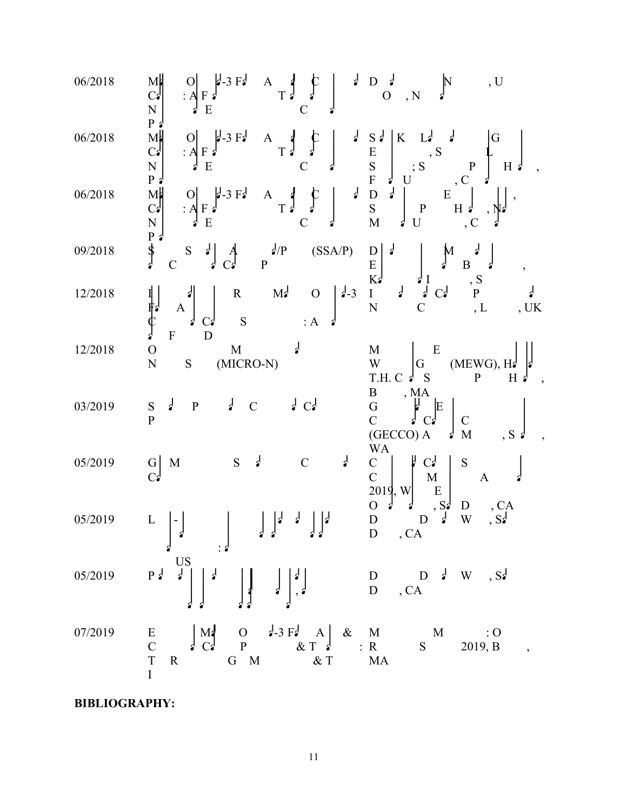| 06/2018 | Мþ<br>$\int_{0}^{d-3} F d$ A $\int_{0}^{d} C$<br>$\overline{\mathsf{N}}$<br>${\bf E}$<br>$P_{\alpha}$                                                                                                                                                                           | $\begin{array}{c} 1 \ 1 \ 0 \end{array}$<br>, U<br>, N                                                                                                                                                                                                                       |
|---------|---------------------------------------------------------------------------------------------------------------------------------------------------------------------------------------------------------------------------------------------------------------------------------|------------------------------------------------------------------------------------------------------------------------------------------------------------------------------------------------------------------------------------------------------------------------------|
| 06/2018 | $M_C$<br>$N$<br>$N$<br>$P$<br>$\frac{1}{2}$ -3 F <sub>2</sub><br>$\frac{1}{2}$<br>$\begin{bmatrix} A & A \\ T & G \end{bmatrix}$<br> 0 <br>$:A \rightarrow A$                                                                                                                   | $\begin{array}{c}\nS \downarrow \\ E \\ S \\ F\n\end{array}$<br>$\frac{1}{2}$<br>$K_{\parallel}$<br>L <sub>3</sub><br>G<br>, S<br>$\begin{bmatrix} P \\ C \end{bmatrix}$<br>$H \phi$<br>$\frac{1}{2}$                                                                        |
| 06/2018 | $\begin{array}{ccc}\nA & A & C \\ B & C & A\n\end{array}$<br>$M_c$<br>$C_s$<br>$N$<br>$P_s$<br>$S$<br>$\frac{1}{2}$ -3 F $\frac{1}{2}$<br>:AF<br>$\overline{E}$                                                                                                                 | ${\bf E}$<br>$H \left  \right $<br>$\cdot$ C                                                                                                                                                                                                                                 |
| 09/2018 | $\sqrt{s}$ (SSA/P)<br>$\mathcal{L}^A$<br>${\bf S}$<br>$\mathbf{P}$                                                                                                                                                                                                              | $\mathbf D$<br>$\int_a^b$<br>$\overline{B}$<br>$\begin{bmatrix} E \\ K \end{bmatrix}$<br>$\cdot$                                                                                                                                                                             |
| 12/2018 | $M_{\bullet}$ O $\Big  \Big _{\phi=3}$<br>$\mathbf R$<br>ド:<br>()<br>。<br>S<br>: A<br>C <sub>3</sub><br>$\mathbf{D}$<br>$\mathbf F$                                                                                                                                             | $\begin{array}{ccccc}\n & & \downarrow & \\  & & \downarrow & \\  & & \downarrow & \\  & & \downarrow & \\  & & \downarrow & \\  & & & \downarrow\n\end{array}$<br>$\displaystyle\mathop{\circ}_{P}^S$<br>${\bf I}$<br>$\overline{C}$<br>, L<br>$\overline{N}$<br>, $\rm UK$ |
| 12/2018 | $\overline{O}$<br>$\mathbf M$<br>$(MICRO-N)$<br>$\overline{\rm N}$<br>${\mathbf S}$                                                                                                                                                                                             | E<br>M<br>$(MEWG), He$<br>P H<br>$\ensuremath{\text{W}}$<br>G<br>$T.H. C \nightharpoonup$<br>$H \nvert$<br>S<br>$\mathbf{B}$                                                                                                                                                 |
| 03/2019 | $\int C$<br>₫<br>$\frac{1}{2}$<br>$\, {\bf P}$<br>$\mathbf C$<br>S<br>$\overline{P}$                                                                                                                                                                                            | $\begin{bmatrix} \n\mathbf{M} \mathbf{A} \\ \mathbf{A} \\ \mathbf{C}\n\end{bmatrix}$<br>$\overline{G}$<br>C<br>E<br>$\mathcal{C}$<br>(GECCO) A<br>$\mathbf M$<br>$, S \nvert$<br>$\mathbf{r}$<br><b>WA</b>                                                                   |
| 05/2019 | ₫<br>$\frac{1}{2}$<br>${\bf S}$<br>$\mathcal{C}$<br>M<br>$\frac{G}{C}$                                                                                                                                                                                                          | ĥ<br>C <sub>2</sub><br>${\bf C}$<br>${\bf S}$<br>$\overline{C}$<br>$M_{\odot}$<br>$\mathbf{A}$<br>${\bf E}$<br>$\begin{bmatrix} 2019 \\ 0 \end{bmatrix}$ , W<br>, S <sub>5</sub><br>D                                                                                        |
| 05/2019 | $\epsilon$<br>$\mathbf{r}$<br>L<br>$\begin{bmatrix} d \\ d \end{bmatrix} \qquad \begin{bmatrix} d & d \\ d & d \end{bmatrix} \qquad \begin{bmatrix} d & d \\ d & d \end{bmatrix} \qquad \begin{bmatrix} D \\ D \end{bmatrix}, CA \qquad \begin{bmatrix} C A \\ D \end{bmatrix}$ | , CA<br>D<br>$\frac{1}{2}$<br>, S <sub>z</sub><br>$\ensuremath{\text{W}}$<br>D                                                                                                                                                                                               |
|         | 05/2019 Pd $\begin{bmatrix} \text{US} \\ \text{P} \end{bmatrix}$ $\begin{bmatrix} 1 \\ 2 \\ 3 \end{bmatrix}$ $\begin{bmatrix} 1 \\ 3 \\ 4 \end{bmatrix}$                                                                                                                        | $\begin{array}{ccc} \mathbf{D} & \mathbf{D} & \mathbf{J} & \mathbf{W} & ,\mathbf{S}\mathbf{J} \\ \mathbf{D} & ,\mathbf{C}\mathbf{A} & \end{array}$                                                                                                                           |
| 07/2019 | $\overline{I}$                                                                                                                                                                                                                                                                  |                                                                                                                                                                                                                                                                              |

**BIBLIOGRAPHY:**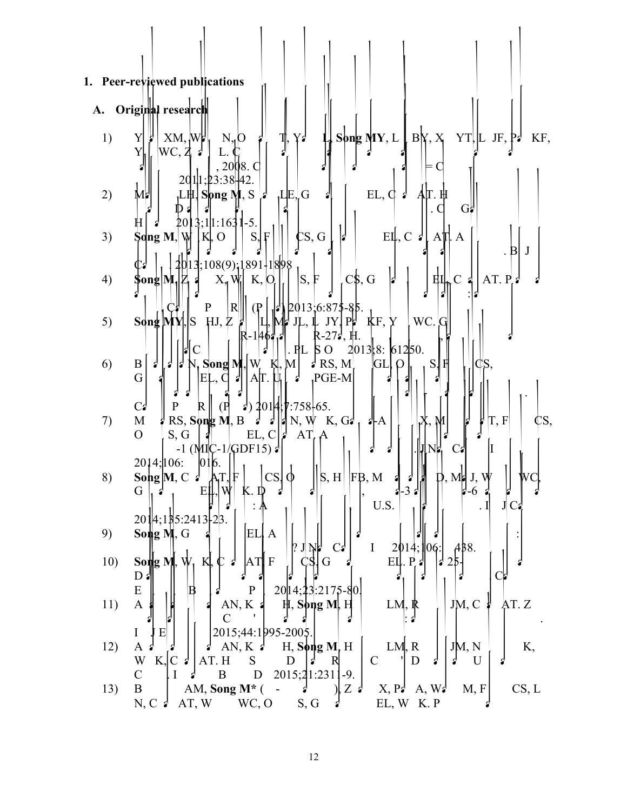|     | 1. Peer-reviewed publications                                                                                                                                                         |
|-----|---------------------------------------------------------------------------------------------------------------------------------------------------------------------------------------|
|     |                                                                                                                                                                                       |
| A.  | Original research                                                                                                                                                                     |
| 1)  | $XM, W^{\perp}$<br>$N_{1}$ O<br>Song $MY, L \downharpoonright BY, X$<br>YT L<br>JF, P <sub>2</sub><br>Y₫<br>T<br>KF,<br>Y<br>WC, 4<br>Y                                               |
|     | $, 2008$ . C                                                                                                                                                                          |
| 2)  | 2011;23:38.42.<br>$EL, \phi \neq$<br>LE, G<br>A∏. Ħ<br>M<br>,L⊞,  Sþng M. S<br>$\mathcal{L}$                                                                                          |
|     | . $\mathsf{d}$<br>$G_{n}^{n}$                                                                                                                                                         |
| 3)  | $ 3;1 1:163 1-5.$<br>Η<br>201<br>$\mathsf{CS},\mathsf{G}$<br>$\operatorname{\mathsf{S}}$ dng M, W<br>EL, C $\ A\ $ A $\ A\ $ .<br>S,<br>$ K $ , O<br>$\mathbf{F}$<br>IS.              |
|     | . Bl<br>J                                                                                                                                                                             |
| 4)  | 13:108(9);1891-1898<br>$ S,\, \overline{F} $<br>$C\$ {S}, G<br>AT. $P_4$<br>$\mathbf C$<br>K, O<br>$\mathbf{z}$<br>ĦЦ,<br>∤ong M.<br>$X_{n}$ W                                        |
|     | $2013,6.875-85.$<br>$\mathbf P$<br> R <br>$\left( \mathbf{P} \right)$                                                                                                                 |
| 5)  | HJ, Z<br>$\text{Sdng}[\text{MN}]$ S<br>WC.<br>$JY$ , $P^{\mu}$ KF, $Y$<br>$J\! L, \, \mathbb{L}$                                                                                      |
|     | R-27ª, H.<br>R-146:<br>2013 8:61250.<br>. $PL$<br>$\beta$ O<br>$\mathsf{C}$                                                                                                           |
| 6)  | $N,$ Song M, $W$<br>$\mathbf{M}$<br>$\sqrt{d}$ RS, M<br><sub>S</sub><br>B<br>ΙGΓ<br>Ķ.<br>O<br>$\mathbf{r}$                                                                           |
|     | AT. U<br>G<br>,PGE-M<br>EL,<br>-21                                                                                                                                                    |
| 7)  | $\vert \cdot \vert$ 2014; [7:758] 65.<br>$\mathbb{R}$<br>C <sub>3</sub><br>$($ H<br>$\mathbf M$<br>$RS$ , Song M, B<br>$\vert A \vert N, W \vert K, G$<br>T, F<br>¢S,<br>$\mathbf{A}$ |
|     | $\mathbf O$<br>$EL, C   \nvert$<br>AT<br>S, G                                                                                                                                         |
|     | $-1$ (MIC-1/GDF15) $\sqrt{ }$<br><b>JI NE</b><br>Сź<br>2014; 106:<br>016.                                                                                                             |
| 8)  | $ cs  \phi$<br>AT F <br>$\vert\vert$ S, H $\vert\vert$ FB, M<br>$M$ d J.W<br>Song M, C $d$<br>WС<br>$\mathbf{a}$                                                                      |
|     | G<br>Eļ<br>-6<br>₫<br>U.S.<br>J<br>Сą                                                                                                                                                 |
| 9)  | 2014;185:2413-23.<br>EL.<br>$\mathbf{S}$ ong M, G<br>$\mathbf{A}$                                                                                                                     |
|     | $\mathbf I$<br>AB8.<br>2014:106:<br>? J<br>Ŋŀ<br>$C_{\bullet}$                                                                                                                        |
| 10) | Song M, $W_1$<br>Кl.<br> AT <br>$\mathbf{F}$<br>G<br>$\mathbf{P}$<br>EЦ<br>21<br>ျ<br>S<br>$D_i$                                                                                      |
|     | ${\bf E}$<br>20 14; 23: 2175-80.<br>$\mathbf{P}$<br>$\, {\bf B}$                                                                                                                      |
| 11) | AT. Z<br>$\mathbf{A}$<br>JM, C<br>AN, $K$ :<br>$H$ , Song M, H<br>LM, R<br>$\mathcal{C}$                                                                                              |
| 12) | E<br>2015;44:1995-2005.<br>$\bf{I}$<br>AN, K $\epsilon$<br>$H$ , Song M, H<br>LM, R<br>JM, N<br>K,<br>A                                                                               |
|     | W<br>D<br>K,<br>AT.H<br>S<br>$\mathbb{R}$<br>$\mathcal{C}$<br>D<br>U<br>C<br>$\mathbf{r}$<br>ď                                                                                        |
| 13) | 2015;21:2311-9.<br>$\mathbf C$<br>B<br>D<br>4<br>CS, L<br>$\, {\bf B}$<br>AM, Song $M^*$ (<br>X, P<br>M, F<br>$Z_d$<br>$\Box$<br>A, W<br>ď                                            |
|     | AT, W WC, O<br>S, G<br>EL, W K.P<br>$N, C \nvert$                                                                                                                                     |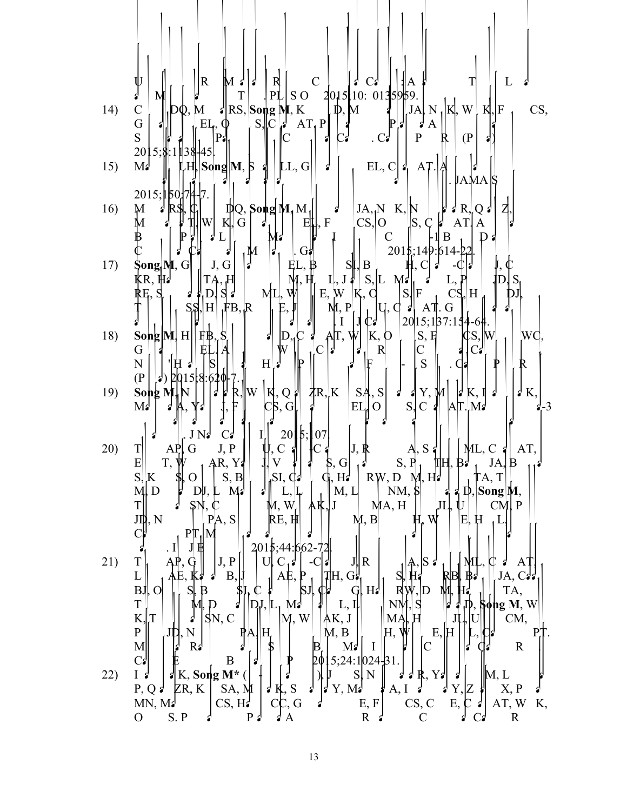14) 
$$
\frac{1}{2}
$$
  $\frac{1}{2}$   $\frac{1}{2}$   $\frac{1}{2}$   $\frac{1}{2}$   $\frac{1}{2}$   $\frac{1}{2}$   $\frac{1}{2}$   $\frac{1}{2}$   $\frac{1}{2}$   $\frac{1}{2}$   $\frac{1}{2}$   $\frac{1}{2}$   $\frac{1}{2}$   $\frac{1}{2}$   $\frac{1}{2}$   $\frac{1}{2}$   $\frac{1}{2}$   $\frac{1}{2}$   $\frac{1}{2}$   $\frac{1}{2}$   $\frac{1}{2}$   $\frac{1}{2}$   $\frac{1}{2}$   $\frac{1}{2}$   $\frac{1}{2}$   $\frac{1}{2}$   $\frac{1}{2}$   $\frac{1}{2}$   $\frac{1}{2}$   $\frac{1}{2}$   $\frac{1}{2}$   $\frac{1}{2}$   $\frac{1}{2}$   $\frac{1}{2}$   $\frac{1}{2}$   $\frac{1}{2}$   $\frac{1}{2}$   $\frac{1}{2}$   $\frac{1}{2}$   $\frac{1}{2}$   $\frac{1}{2}$   $\frac{1}{2}$   $\frac{1}{2}$   $\frac{1}{2}$   $\frac{1}{2}$   $\frac{1}{2}$   $\frac{1}{2}$   $\frac{1}{2}$   $\frac{1}{2}$   $\frac{1}{2}$   $\frac{1}{2}$   $\frac{1}{2}$   $\frac{1}{2}$   $\frac{1}{2}$   $\frac{1}{2}$   $\frac{1}{2}$   $\frac{1}{2}$   $\frac{1}{2}$   $\frac{1}{2}$   $\frac{1}{2}$   $\frac{1}{2}$   $\frac{1}{2}$   $\frac{1}{2}$   $\frac{1}{2}$   $\frac{1}{2}$   $\frac{1}{2}$   $\frac{1}{2}$   $\frac{1}{2}$   $\$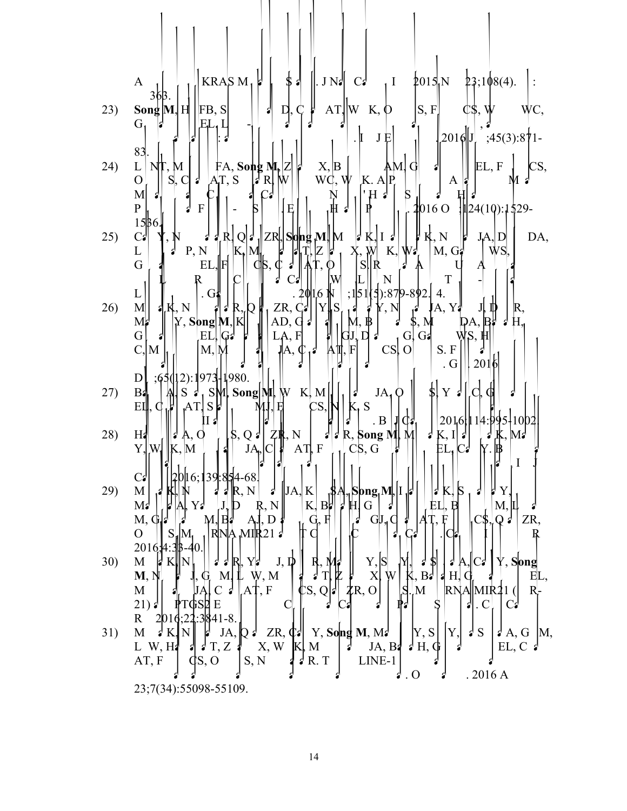|     | KRASM <sub>1</sub><br>\$d\$<br>$1 \quad \text{2015} \text{N} \quad \text{23:108(4)}.$<br>$\parallel$ . J Na<br>$C_2$<br>$\mathbf{A}$<br>36B.                                                                                                                                                                                     |
|-----|----------------------------------------------------------------------------------------------------------------------------------------------------------------------------------------------------------------------------------------------------------------------------------------------------------------------------------|
| 23) | $AT  W K, \Phi$<br>$\left S, F\right $<br>Song $\mathbf{M}$ , $\mathbf{H}$   FB, S <br>D, Ç<br>-21                                                                                                                                                                                                                               |
|     | $G_{1}$<br>EL, L<br>$\mathbf{I}$ .<br>$2016$ $J_1$ ;45(3):871-<br>JĘ                                                                                                                                                                                                                                                             |
| 24) | 83.<br>EL, F<br>$FA$ , Song M <sub>p</sub> $ Z $<br>$X, \vert B \vert$<br>$AM$ . $G$<br>CS,<br>$N\Gamma, M$<br>$\mathcal{L}$<br>L                                                                                                                                                                                                |
|     | WG, W K. A   P<br>S <sub>1</sub><br>$\mathbf C$<br>$\overline{a}$<br>$AT$ , S<br>$\mathbf{O}$<br>W<br>$\mathcal{F}$ R<br>A<br>M                                                                                                                                                                                                  |
|     | $\vert H \vert$<br>M<br>S<br>ျ<br>. <b>4</b> 016 O $\parallel$ 24(10):1\$29-<br>$\mathbf{P}$<br> Ę <br>$\mathbf{F}$                                                                                                                                                                                                              |
| 25) | $15\,6$<br>$ \mathbf{J} \mathbf{K} \mathbf{I} \mathbf{J}   \mathbf{J} \mathbf{K}, \mathbf{N} $<br>  ZR , S d ng M   M<br>$J \, d \, R$<br>C <sub>3</sub><br>DA,<br>Q<br>$J_A, D$                                                                                                                                                 |
|     | P, N<br>$\mathbf{W}$ K, $\mathbf{W}$ , $\mathbf{W}$ , G,<br>L<br>$K_{\rm p}$ $M_{\rm p}$<br>X,<br>WS.<br>$\mathbf G$<br>$EL,$ $F$<br>$\mathbb{d}$ s, $\mathbb{d}$ d<br>S  R                                                                                                                                                      |
|     | $\mathbb{A}$<br>T<br>W<br>$\mathbf N$                                                                                                                                                                                                                                                                                            |
| 26) | $;1 51 13 :87 9-892.4.$<br>.2016N<br>$\cdot$ G<br>L<br>$\ ZR, C_2\  \ Y\  \ S\ $<br>$J_{\cdot}$ K, N<br>$\mathbb{A}, \mathbb{Y}$<br>$\mathbb{R},$<br>M<br>R,<br>RΙ<br>‼ 2'                                                                                                                                                       |
|     | $\left \bigwedge^{\bullet},\bigwedge^{\bullet}\right ^{K},\mathcal{N}$<br>$\oint_{\gamma}^{d}$<br>$ $ Y, Song $ M,$ K $ $<br>AD, $\left  \cdot \right $<br>1<br>M<br>$\mathbf{D}$<br>LA, F<br>G G2<br>G<br>EL<br> G                                                                                                              |
|     | $\mathbb{A}, \mathbf{\psi}_1$<br>$\text{CS}$ , $\text{O}$<br>$\mathbf{F}$<br>S. F<br>$ M, \mathcal{M} $<br>C, M<br>ΆЩ.                                                                                                                                                                                                           |
|     | 2016<br>$\cdot$ G<br>;65(12):1973-1980.<br>D                                                                                                                                                                                                                                                                                     |
| 27) | $ \nabla \cdot \mathbf{r} $<br>Song $\mathbf{M}$ , $\mathbf{W}$ K, $\mathbf{M}$<br>$S \nvert \nvert$ , $S$ M,<br>C, G<br>$JA_1Q$<br>$cs,$   $\sqrt{1}$ $\frac{1}{r}$<br><b>B4</b><br>$K_{1}S$<br>$AT$ $S$ <sup><math>\parallel</math></sup><br>MJ, E<br>$E\mathbb{I}, \mathbb{C}$                                                |
| 28) | . $B$<br>2016<br>$\begin{bmatrix} 1 & 3 \\ 2 & R \end{bmatrix}$ . B $\begin{bmatrix} 1 & 0 \\ 1 & M \end{bmatrix}$<br>$\left[\mathbf{\S},\mathbf{Q}\mathbf{\pmb{\delta}}\right]\mathbf{\pmb{Z}}\mathbf{\pmb{\R}},\mathbf{N}\end{bmatrix}$<br>$\vert \mathbf{K}, \mathbf{I} \vert \mathbf{K}$<br>H <sub>d</sub><br>$\vert$ d A, O |
|     | $AT$ $F$ $ $ $ $ $C$ $S$ , $G$<br>$Y, W$   $ K, M$<br>$JA_p C f$<br>EL, C<br> 1                                                                                                                                                                                                                                                  |
|     | 16;139:854-68<br>$C_{\bullet}$                                                                                                                                                                                                                                                                                                   |
| 29) | $\ JA\ K$<br>$\mathsf{S}$<br>M<br>$\beta$ ong <sub>i</sub> $M$ , I<br>K,<br>Y<br>S<br>K,<br>R, N<br>M <sub>2</sub><br>Yď<br>G<br>Bh<br>E<br>М,                                                                                                                                                                                   |
|     | G, H<br>M, G<br>$GJ_{\nu}$<br>ZR,<br>$Q \nmid$<br>$\mathbf{O}$<br>RIN                                                                                                                                                                                                                                                            |
|     | MЩ<br>2016; 4:3  <br>-40                                                                                                                                                                                                                                                                                                         |
| 30) | Y, S<br>M<br>$J, \psi$<br>$\dot{Y}$ , Song<br>KIN<br>Yg<br>R<br>Cг<br>X<br>W, M<br>$B^{\mathcal{A}}$<br>W<br>M, N<br>M.<br>$\sharp H$<br>EL,<br>K.<br>Ιì                                                                                                                                                                         |
|     | $M_{\rm s}$<br>M<br>AŢ, F<br>RNA  MIR21<br>$\mathcal{I}R$ , O<br>'S,<br>C<br>ď<br>R-<br>Q<br>E<br>$\cdot$ C<br>21) $\epsilon$<br>TGSD<br>Ċ<br>쉽                                                                                                                                                                                  |
|     | $;22:3841-8.$<br>$\mathbb{R}$<br>2016                                                                                                                                                                                                                                                                                            |
| 31) | Y, S <br>Y,<br>Y, Song M, M.<br>$\frac{1}{2}$ S<br>M<br>N<br>$\frac{1}{2}$ K.<br>JA,<br>ZR, q  <br>$\Lambda$ , G  M,<br>ل ډ<br>$L$ W, $H_1$<br>X, W<br>K, M<br>$\partial H, \Phi$<br>T, Z<br>JA, B <sub>4</sub><br>EL, C $\triangleleft$<br>$\mathbf{r}$<br>S.<br>А                                                              |
|     | LINE-1<br>AT, F<br>S, N<br>$\sqrt{R}$ . T<br>CS, O<br>$.2016\,\mathrm{A}$<br>$\overline{\mathbf{0}}$<br>ď                                                                                                                                                                                                                        |
|     | 23;7(34):55098-55109.                                                                                                                                                                                                                                                                                                            |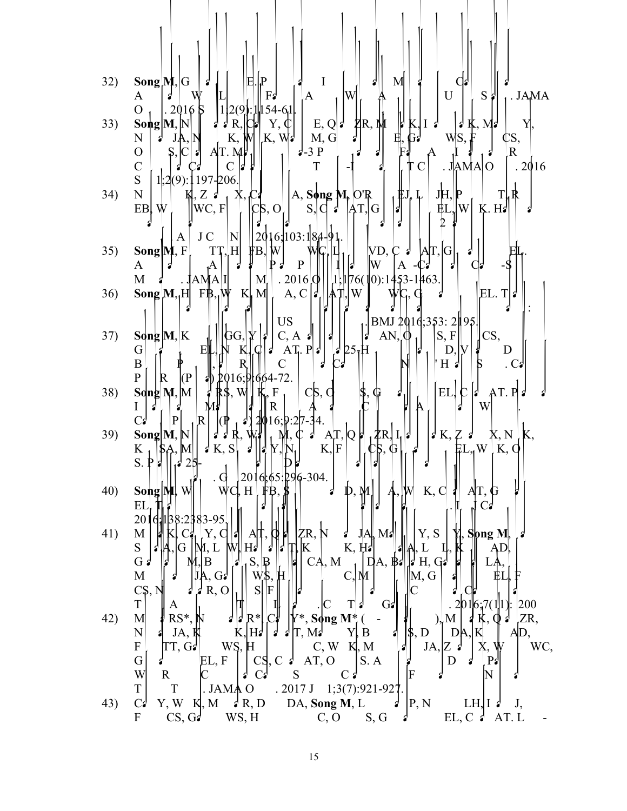| 32) | $\textbf{Song} \mathbf{M}, \mathrm{G} $<br>$\mathbf{P}$<br>$\mathbf I$<br>M<br>E                                                                                                                                                                                                  |
|-----|-----------------------------------------------------------------------------------------------------------------------------------------------------------------------------------------------------------------------------------------------------------------------------------|
|     | lW<br>$\mathbf{U}$<br>$S \neq$<br>. JAMA<br>F <sub>2</sub><br>A<br>A<br>12(9).1<br>$154 - 61$<br>$\overline{O}$<br>.2016B                                                                                                                                                         |
| 33) | $\mathbf{Song}$ $[M,N]$<br>E, Q <br>$\mathbb{Z}^{R}$<br>R,<br>Υ, ¢<br>$\begin{matrix} 1 \\ 1 \\ 2 \end{matrix}$<br>d K, M d<br>Yļ,<br>$K, I \notin$<br>$ K, W_1 $<br>M, G<br>WS,<br>K, W<br>N<br>¢S,<br>$ {\rm N} $                                                               |
|     | $\frac{1}{2}$ -3 P<br>$\overline{R}$<br>AT. M<br>$\mathcal{O}$<br>S, C                                                                                                                                                                                                            |
|     | $\overline{C}$<br>. JAMAO<br>T<br>.2016<br>S<br>$1,2(9)$ : 197-206.                                                                                                                                                                                                               |
| 34) | $\mathbf N$<br>$A,$ Song $M, O'R$<br>JH, P<br>$K, Z$ :<br>T.<br>X, C<br>$\left\vert \left\vert \mathrm{W}\mathrm{C}\mathrm{,F}\right\vert \right.$<br>K.HJ<br> CS, O <br>$ \mathrm{W} $<br>Ŵ<br>$S,  C  \neq$<br> AT <br>EB<br> G <br>ËL                                          |
|     |                                                                                                                                                                                                                                                                                   |
| 35) | 2016, 103:18, 491.<br>$\rm J$ C<br>$\mathbb{N}$<br>A<br>Song $[M, F]$<br>TT, H<br>$[VD, C \cdot ]$<br>ĦВ,<br>AП,<br>G                                                                                                                                                             |
|     | $\, {\bf P}$<br>W<br>$\mathbf{A}$<br>$\mathbf{A}$<br>( )2<br>13<br>$A_{1}$<br>$ 1;1 76(10):1453-1463.$<br>$M_f$ . 2016 $\phi$<br>M<br>. JAMA I                                                                                                                                    |
| 36) | A, C $ $<br>$K$ M<br>W<br> EL. T <br>Song $M_1H$ F $\beta_1W$<br>$ A^{\dagger} $                                                                                                                                                                                                  |
|     | <b>US</b><br> BMJ 2016;353:2 195                                                                                                                                                                                                                                                  |
| 37) | $AN, \phi_1$<br>$\mathbf{S}\mathbf{q}\mathbf{n}\mathbf{g} \mathbf{M},\mathbf{K}$<br>$C, A \nvert \cdot \vert$<br>$\mathbf{r}$<br>$\mathcal{L}$<br>CS,<br> S, F <br>Y<br>GG,<br>$\mathsf{I}$<br>$\frac{1}{4}$ 25 <sub>1</sub> H<br>$AT_r$ . $P J $<br>G<br>EI<br>D,<br>D<br>K<br>F |
|     | $\, {\bf B}$<br>R<br>$\mathbf C$<br>'H 2<br>$\mathbf{r}$<br>. $Ci$                                                                                                                                                                                                                |
| 38) | $\overline{P}$<br>$\mathbb{R}^-$<br>2016;91664-72.<br>$\vert P \vert$<br>4I)<br>EL,<br>$\mathbf{Sdng}[\mathbf{M},\mathbf{M}]$<br>$C\mathcal{S}, C$<br>AT. P<br>$\mathsf{S}, \mathsf{W}$<br>F<br>Ģ                                                                                 |
|     | Á<br>W<br>M<br>I<br>R<br> P <br> R <br>C <sub>2</sub><br>16;9:2h                                                                                                                                                                                                                  |
| 39) | Song $M, N$<br>R,<br>A[T, Q]<br>∦R, I,  a'<br>d K, Z<br>X, N<br>К,                                                                                                                                                                                                                |
|     | K $\left \oint_{S} \left \oint_{1} A, M\right  \right  \left \oint_{1} S\right $<br>$FL_{\eta}W$ <sub>K,</sub> $\phi$<br>$K,$ $F$<br>G<br>S<br>a,                                                                                                                                 |
| 40) | 2016;65:296-304.<br>WC, H .<br>K, C<br>Song MI,<br>W<br><b>F</b> ₿,<br>$\mathbf{M}$<br>D,<br>AT,                                                                                                                                                                                  |
|     | EL<br>201<br>83-95                                                                                                                                                                                                                                                                |
| 41) | ŻR, N<br>Y, S<br>Song M<br>M<br>M <sub>s</sub><br>Y,<br>JĄ,<br>F                                                                                                                                                                                                                  |
|     | K, H<br>S<br>K<br>AD.<br>H.<br>И, L<br>L<br>(ì<br>3<br>a<br>S,<br>CA, M<br>H, G<br>$G \nvert$<br>$ $ DA, $\mathbb{B}$<br>$\mathbb{B}$<br>B                                                                                                                                        |
|     | W\$,<br>∥M, G<br>M<br>C, M<br>$\mathbf H$<br>G <sub>3</sub><br>R, O<br>$S \vert F$<br>$C\$ {S}, $N$                                                                                                                                                                               |
|     | $\mathbf T$<br>200<br>G <sub>2</sub><br>T<br>A                                                                                                                                                                                                                                    |
| 42) | RS*.<br>ZR,<br>R*<br>Song $M^*$<br>M<br>$\overline{\phantom{a}}$<br>$\mathbf{)}_{2}$<br>$\mathbf N$<br>$H^2$<br>JA, K<br>$ \$, D$<br>$\mathcal{T}, \mathbf{M}$<br>YĮ,<br>B<br>AD,<br>DA,<br>a                                                                                     |
|     | ${\bf F}$<br>C, W<br>WC,<br>WŚ,<br>Ħ<br>K, M<br>TT, G2<br>JA, Z<br>G<br>AT, O<br>EL, F<br>CS,<br>S.A<br>D<br>P<br>$\mathsf{C}$                                                                                                                                                    |
|     | W<br>$\mathbb N$<br>$\mathbf R$<br>S<br>F<br>Сđ                                                                                                                                                                                                                                   |
| 43) | $\mathbf T$<br>. JAMA O<br>T<br>.2017J<br>$1;3(7):921-927$<br>Y, WK, M<br>$\sqrt{R}$ , D<br>DA, Song M, L<br>C <sub>3</sub><br> P, N<br>LH $\vert$ I d<br>J,                                                                                                                      |
|     | EL, C $\overline{\phantom{a}}$<br>$\mathbf{F}$<br>CS, G <sub>d</sub><br>WS, H<br>$C, O$ $S, G$<br>AT.L                                                                                                                                                                            |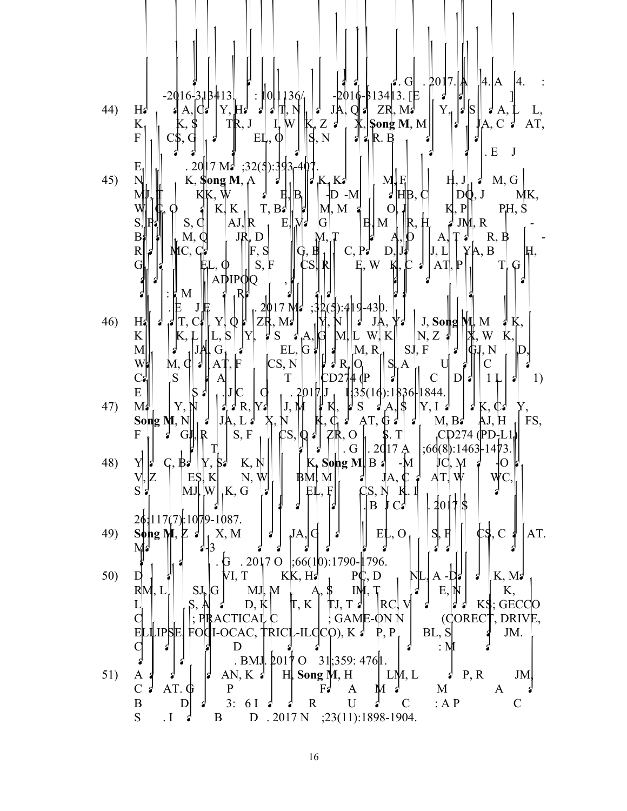|     | $\left 4.\right $ A<br> 4.<br>$-2016 - 13413$ . [E<br>$-2016 - 318413$<br>$ :\ 0 1136/$                                                                                                                                                                                                                                                                                                                                                                                                                                                                                                                                                               |
|-----|-------------------------------------------------------------------------------------------------------------------------------------------------------------------------------------------------------------------------------------------------------------------------------------------------------------------------------------------------------------------------------------------------------------------------------------------------------------------------------------------------------------------------------------------------------------------------------------------------------------------------------------------------------|
| 44) | $\begin{bmatrix} 1 & -2 \\ 1 & 1 & 1 \\ 1 & 2 & 3 \end{bmatrix}$<br>$\left\  \begin{array}{c} Y \\ Y \end{array} \right\ _2^2 \left\  \begin{array}{c} S \\ S \end{array} \right\ _2^2$<br>$ Y, HJ$ $\parallel$ $d$ $\parallel$ $d$ $\parallel$ $\parallel$ $\parallel$<br>JA,<br>$Q \mid \mathbf{Z} \mid \mathbf{Z} \mid \mathbf{M} \mid$<br>$a$ A, $ Q_2 $<br>H <sub>3</sub><br>$\mathcal{A},$<br>$T\mathbb{R}, J$<br>I, W<br>$\frac{1}{2}$ Song M, M<br>$\mathbf{K}_{1}$<br>K, \$<br>AT,<br>A, C                                                                                                                                                   |
|     | $\overline{F}$<br>$ \xi, N $<br>$EL, \phi$<br>$d$ $d$ R. B<br>. $E$<br>J                                                                                                                                                                                                                                                                                                                                                                                                                                                                                                                                                                              |
| 45) | . 20   7 Ma $(32(5):393-4)$<br>$E_{1}$<br>Ŋ<br>$K_1K_2$<br>$H, J'_d$ d<br>$M_{1}F_{1}$<br>M, G<br>K, <b>\$ong M</b> , A<br>ď<br>$\int$                                                                                                                                                                                                                                                                                                                                                                                                                                                                                                                |
|     | $ D\phi, J $<br>$\vert \cdot \vert$ H $\vert B,C\vert$<br>KK, W<br>$E_i B_i $<br>$ D - M $<br>MK,<br>T, B<br>$E = \frac{1}{\sqrt{2}}$<br> M, M<br>K, P<br>$PH,$ \$<br>$\vert$ O<br>$K$ <sub>1</sub><br>AJ,R<br>$\frac{1}{6}$ JM, R<br>S,<br> G                                                                                                                                                                                                                                                                                                                                                                                                        |
|     | $\left\  \begin{matrix} R, H \\ 0 \end{matrix} \right\ $<br> B M<br>S, Q<br>þ<br>$B_{\mathbf{f}}^{\mathbf{I}}$<br>$A, \uparrow \downarrow \uparrow R, B$<br>M, Q<br>JR, D<br>$\overline{A}$<br>$\begin{bmatrix} M, \\ G, B \\ CS, R \end{bmatrix}$<br>R<br>D, J<br>Y A, B<br>C, P <sub>4</sub><br>J, L<br>NIC, C¦<br>F, S<br>H,                                                                                                                                                                                                                                                                                                                       |
|     | $\acute{\mathbf{s}}, \mathbf{\ddot{F}}$<br>$c \cdot$<br>G<br>E, W<br>AT, P<br>Kļ,<br>T,<br>ĘL, Φ<br>Ģ<br><b>ADIPOO</b>                                                                                                                                                                                                                                                                                                                                                                                                                                                                                                                                |
|     | $: \sharp M$<br>,RI<br>$;32(5):419-430.$<br>. 2017 MJ<br>ZR, M <sub>3</sub>                                                                                                                                                                                                                                                                                                                                                                                                                                                                                                                                                                           |
| 46) | Y <sup>1</sup><br>$M^{\mathcal{A}}$<br>$Q \nmid$<br>$\mid$ J, Song M, M<br>Ķ,<br>H<br>JA,<br>γ₫<br>$\frac{1}{2}S$<br>$\begin{bmatrix} L, S \\ G, \end{bmatrix}$<br>$\mathcal{A}$ , $A$ ,<br>W, K<br>$ N, Z \nightharpoonup$<br>Y,<br>W<br> K <br>K, L<br>M L<br>$\frac{1}{2}$<br>$EL, G \nparallel$<br>$M, R_1$<br>SI, F<br>M<br>$\mathcal{L}$<br>∣₲Į, N<br>$ {\rm D} $                                                                                                                                                                                                                                                                               |
|     | $\begin{array}{c} \left\  \begin{array}{c} \mathbf{1} \\ \mathbf{2} \\ \mathbf{R} \end{array} \right\ _{\mathcal{C}} \end{array} \end{array}$<br>F<br>CS, N<br>M, d<br>AŢ,<br>$\parallel$ S. A<br>W<br>$\mathcal{C}$<br>Ю,<br>$\frac{1}{2}$<br>$C_4$<br>$\overline{S}$<br>$\mathbf C$<br>$\mathbf T$<br>D <br>$\langle \mathbb{P} \rangle$<br>1)<br>$\mathbf{A}$<br>1 <sub>l</sub>                                                                                                                                                                                                                                                                    |
| 47) | $\begin{bmatrix} 1 & 1 \\ 1 & 1 \\ 1 & 1 \end{bmatrix}$<br>E<br>$\left  \int_{J} \right $<br>$\begin{bmatrix} . & J \\ . & R \end{bmatrix}$<br>M∦<br>$K, \mathbb{C}$<br>Υ,<br>$\mathbf{r}$                                                                                                                                                                                                                                                                                                                                                                                                                                                            |
|     | $J\mathsf{A}, L\mathsf{B}$<br>AJ, H<br>FS,<br>Song $M, N$<br>N<br>$\epsilon$<br>G帆R<br>S, F<br>  $\Gamma$ <sub>1</sub> CD274 (PD-L1)<br>$\mathcal{L}$ S, $\mathcal{Q}$ a<br>$\frac{1}{2}$<br>$\mathbf{F}$                                                                                                                                                                                                                                                                                                                                                                                                                                             |
| 48) | $\left\  \begin{matrix} \nT \\ \nY, \n\end{matrix} \right\ $ K, $N$<br>$\begin{bmatrix} 1 \\ K_1 \end{bmatrix}$ $\begin{bmatrix} 1 \\ 0 \end{bmatrix}$ $\begin{bmatrix} 1 \\ 0 \end{bmatrix}$ $\begin{bmatrix} 1 \\ 0 \end{bmatrix}$ $\begin{bmatrix} 2 \\ 1 \end{bmatrix}$ $\begin{bmatrix} 1 \\ 0 \end{bmatrix}$ $\begin{bmatrix} 3 \\ 1 \end{bmatrix}$ $\begin{bmatrix} 4 \\ 3 \end{bmatrix}$ $\begin{bmatrix} 1 \\ 0 \end{bmatrix}$ $\begin{bmatrix} 1 \\ 0 \end{bmatrix}$ $\begin{bmatrix} 1 \\ 0 \end{bmatrix}$<br>$\phi$ , $\frac{1}{2}$<br>lſ.<br>$\lfloor \cdot \rfloor$<br>∤O ∥⁄<br>ΥI<br>E\$, K<br>AT, W<br>N, W<br>BM, M<br>C<br>Z<br>JA, |
|     | $S _{\mathbf{z}}$<br>$\text{MJ}$ , $\text{W}$ , $\text{K}$ , G<br>$E\mathbb{L}, F$<br>CS, NK. I<br>S<br>4017<br>B                                                                                                                                                                                                                                                                                                                                                                                                                                                                                                                                     |
| 49) | $26\frac{1}{1}17(7)$ : 1079-1087.<br>X, M<br>$EL$ , O<br>S,<br>$\mathbf C$<br>Song M, $Z \sim$<br>AT.<br>JA, C<br>H                                                                                                                                                                                                                                                                                                                                                                                                                                                                                                                                   |
| 50) | $\frac{1}{2}$<br>M<br>G . 2017 O $ ;66(10):1790$ -1796.<br>KK, H <sub>2</sub><br>VI, T<br>NL.<br>K, M<br>PC<br>D<br>A - $\mathbf{D}$<br>ď                                                                                                                                                                                                                                                                                                                                                                                                                                                                                                             |
|     | MJ, M<br>$SI_{p}$ G<br>RM, L<br>E,<br>Κ,<br>$\mathbf{A}$<br>ΙN<br>S,<br>$K\$ ; GECCO<br>$\Gamma, K$<br> RC  V <br>D, K<br>$TJ, T$ d<br>2<br>4                                                                                                                                                                                                                                                                                                                                                                                                                                                                                                         |
|     | (CORECT, DRIVE,<br>; PIRACTICAL C<br>$\frac{1}{2}$ GAME-ON N<br>FOCII-OCAC, TRICL-ILCCO), K $\downarrow$ P, P<br><b>ELLIPSE!</b><br>BL, S<br>JM.                                                                                                                                                                                                                                                                                                                                                                                                                                                                                                      |
|     | : $M$<br>D<br>C<br>А<br>$-BMJ. 2017O$ 31;359:476.                                                                                                                                                                                                                                                                                                                                                                                                                                                                                                                                                                                                     |
| 51) | AN, K $\sharp$   H  Song M, H<br>$\vert$ LM, L<br>$\Box$ P, R<br>JM.<br>A<br>Ĵ<br>AT. $\oint$<br>${\bf P}$<br>M<br>C<br>A<br>A<br>M<br>3:<br>: A P<br>U<br>$\mathbf R$<br>B<br>6 I<br>C<br>$\mathbf C$<br>ď<br>D                                                                                                                                                                                                                                                                                                                                                                                                                                      |
|     | S<br>D . 2017 N ; 23(11):1898-1904.<br>$\cdot$ I<br>$\mathbf{B}$                                                                                                                                                                                                                                                                                                                                                                                                                                                                                                                                                                                      |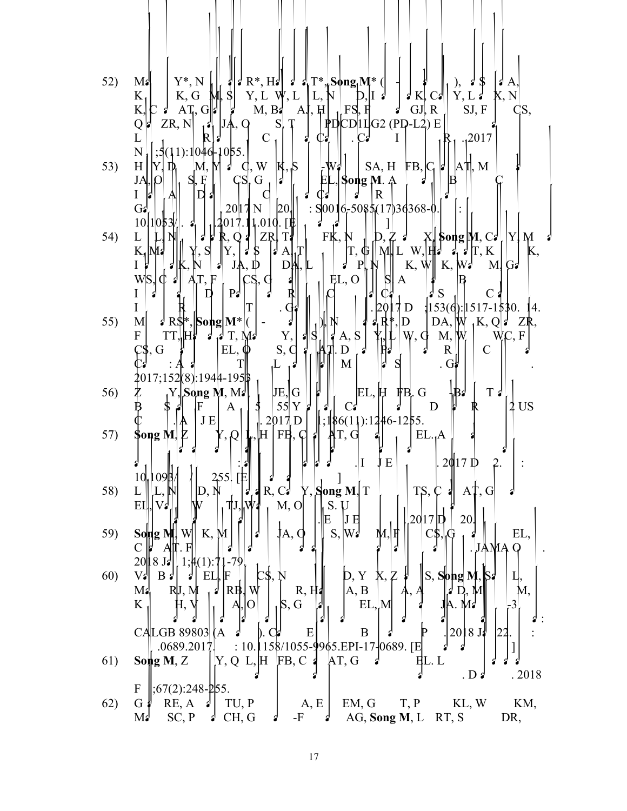| 52)        | $Y^*$ , N<br>$  \cdot   \cdot R^*, H   \cdot    \cdot    \cdot   _1^*$ Song $M^*$ (<br>M:<br>$Y, L \nightharpoonup V, L$<br>$M,$ $S$<br>K, G<br>$K_{1}$<br> L, N <br>K, N<br>$\beta$ K, C $\beta$<br>Y, L<br>$\begin{array}{ c c c c }\hline \text{H} & \text{Fs}, \text{F} & \text{J} & \text{GJ}, \text{R} \ \hline \text{PD} & \text{CD} & \text{H} & \text{G2} & \text{(PP-L2)} & \text{E} \ \hline \end{array}$<br>M, B<br>$\mathrm{AJ}, \mathrm{H}$<br>SJ, F<br>K,<br>$\Lambda T$ , G  <br>C <sub>S</sub> ,<br>ZR, N<br>S<br>JA, Q<br>Q |
|------------|-----------------------------------------------------------------------------------------------------------------------------------------------------------------------------------------------------------------------------------------------------------------------------------------------------------------------------------------------------------------------------------------------------------------------------------------------------------------------------------------------------------------------------------------------|
| 53)        | $\mathbf C$<br>,2017<br>C2<br>$\mathbf{r}$<br>Сź<br>I<br>11):10461055.<br>N<br>$S_A, H$ FB, $C_1$<br>$ A\mathbb{T} $ , M<br>H<br>W<br>$\vert K, S \vert$<br>$-W^{\perp}_{\bullet}$<br>Y.<br>M, M<br>$\mathbf{q},$<br>É<br>$\mathsf{GS}, \mathsf{G}$<br>$\frac{1}{2}$<br>S,<br>Song M. A<br>JĄ<br>d<br>$\mathbf R$<br>I<br>$\mathbf{D}$ a                                                                                                                                                                                                      |
| 54)        | 20<br>: $\text{S}^{0016}$ -508\$(17)36368-0.<br>G <sub>2</sub><br>2017N<br>$\mathbf{E}$<br> 1.010.<br>10 1053%<br>Γ₿<br>2017.1<br>$\mathbf{a}_1$<br>FK,<br>N<br>L<br>ZŖ<br>$\phi$ Song M, Call Y<br>$\mathcal{L} \times \mathcal{L}$<br>Тł<br>M<br>Q1<br>$K_1$ $\overline{M_2}$<br>$ {\rm Y}, $<br>$M\vert L$<br>$d$ T, K<br>S<br>$ T,\,\oplus\, $<br>$\mathcal{F}$<br>$\mathbf{z}_1$<br>\$<br>K,<br>$\mathbf{A}$<br>$\mathbf{P}$<br>K, $W$ K, $W$ <sup>J</sup><br>$M$ , G<br>JA, D<br>DĄ<br>L<br>ረ<br>剑                                      |
| 55)        | l ¢<br>WS.<br>EL, O<br>G<br>A<br>P <sub>5</sub><br>Ŗ<br>S<br>$\mathbf C$<br>$\frac{153}{6}$ : 1517-1530.<br>$\cdot$ G<br>D<br>l4.<br>$d$ R\$ <sup>*</sup> , Song M <sup>*</sup> (<br>$DA, \vert W \vert$<br>M<br>₫<br>$_{1}K, Q\vert d$<br>D<br>ZR,<br>Y,<br>$\frac{1}{3}$<br>$A, \S$<br>TT,<br>$d_{\parallel}d$ T, Md<br>F<br>W, G<br>M, W<br>C.F<br>S, C<br>₫<br>$EL, \phi$<br>D<br>$\mathbb{R}$<br>$\mathcal{C}$<br>$\mathbb{C}$ \$, G<br>M<br>. G∦                                                                                        |
| 56)        | 2017;152 (8) :1944-195  \$<br>$\mathbb{E}$ L, $\mathbb{H}$ FB, G<br>$\left\{\n\begin{matrix}\nY, & \text{Song M, M2} \\ Y, & F\n\end{matrix}\n\right\}$<br>JE, G<br>T:<br>$\mathbb{B}^1$                                                                                                                                                                                                                                                                                                                                                      |
| 57)        | 55 Y<br>$2$ US<br>D<br>JE<br>$\frac{1}{6}$ ; 186(11): 1246-1255.<br>2017 D<br>$ $ FB, C<br>Song M,<br>$\mathbb H$<br>EL. A<br>$\Omega$<br>J<br>JΕ<br>$2$ Q $17$ D<br>. 1                                                                                                                                                                                                                                                                                                                                                                      |
| 58)        | 10,109<br>255<br>TS, C<br>$A\ddagger, G$<br>R, C<br>$Y$ , Song M, T<br>D, N<br>L<br>M, O<br>TJ.LW.<br>V <sub>2</sub><br>EЦ<br>S.U                                                                                                                                                                                                                                                                                                                                                                                                             |
| 59)        | 20 17<br>20<br>E<br>JЕ<br>S,<br>W٤<br>K, M<br>EL,<br>Song N<br>Wl<br>IA, Q                                                                                                                                                                                                                                                                                                                                                                                                                                                                    |
| <b>60)</b> | $\overline{F}$<br>C<br>JAMA Q<br>2018J <sub>2</sub><br>$1;4(1):71-79$<br>$B \nvert$<br>S, Song M,<br>$V$ 2<br>F<br>EI<br>D, Y<br>Χ,<br>RB,<br>R, H<br>$\mathbf{M}$<br>RIJ, M<br>A, B<br>W<br>Μ,                                                                                                                                                                                                                                                                                                                                               |
|            | S, G<br>K<br>EL, M<br>2018J <sub>2</sub><br><b>CALGB 89803</b><br>E<br>B<br>(A<br>$\mathbb{D}$ . C                                                                                                                                                                                                                                                                                                                                                                                                                                            |
| 61)        | : 10.158/1055-9965.EPI-17-0689. [E<br>.0689.2017.<br>$Y, Q L, H$ FB, C $\triangleleft$<br>AT, G<br>Song $M, Z$<br>EL. L<br>.2018<br>. D 2                                                                                                                                                                                                                                                                                                                                                                                                     |
| 62)        | $;67(2):248-\frac{6}{5}5.$<br>F<br>RE, A<br>TU, P<br>EM, G<br>T, P<br>KL, W<br>G<br>A, E<br>KM,<br>$\mathcal{L}$<br>SC, P<br>CH, G<br>$AG$ , Song M, L<br>DR,<br>Мś<br>-F<br>RT, S<br>ď                                                                                                                                                                                                                                                                                                                                                       |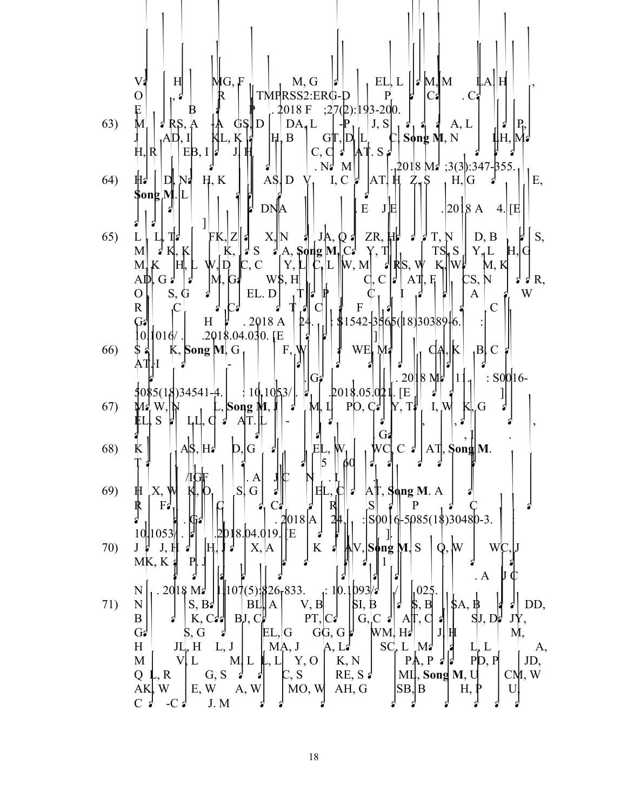|     | V.<br>EL, L $  \mathbf{d} \mathbf{M}  $ M<br>H<br>M, G<br>LA‼H<br>MG, F<br>$\mathbf{P}$<br>TMPRSS2:ERG-D<br>O<br>C <sub>1</sub><br>. $C_i$                                                                                                                                                                                                                                                                                                                                                                                                                                                                                                                                                                                                                                                                                                                                                 |
|-----|--------------------------------------------------------------------------------------------------------------------------------------------------------------------------------------------------------------------------------------------------------------------------------------------------------------------------------------------------------------------------------------------------------------------------------------------------------------------------------------------------------------------------------------------------------------------------------------------------------------------------------------------------------------------------------------------------------------------------------------------------------------------------------------------------------------------------------------------------------------------------------------------|
| 63) | $;27(2):193-200.$<br>.4018 F<br>Ę<br>Β<br>$\bm{\mathsf{M}}$ .<br>DA <sub>1</sub> L<br>J, S<br>$P_{1}$<br>GS.D<br>A, L<br>$\lambda$ RS.<br>$1212121$<br>$\mathbf{K}$<br>C, Song M, N<br>$G[T, D]$  L<br> H, B <br>ЦН, М.<br>Jļ<br>$EB, I   \xi$<br>41. s 2<br>$C, C \}$<br>H, R                                                                                                                                                                                                                                                                                                                                                                                                                                                                                                                                                                                                             |
| 64) | $.12018 \text{ M}$ ; 3(3): 347-355.<br>$N_{\bullet}$<br>$\mathbf{M}$<br>$[AT]$ $\rm H$<br>$Z_{1}S$<br>H, K<br>AS <sub>1</sub> D<br>I, C $\sharp$<br>Ε,<br>∦,<br>N4<br>$\mathbf{D}$<br>, H, G<br>\$ong M                                                                                                                                                                                                                                                                                                                                                                                                                                                                                                                                                                                                                                                                                    |
|     | ${\bf E}$<br>. 2018 A<br>JE<br><b>DNA</b><br>$4.$ [E                                                                                                                                                                                                                                                                                                                                                                                                                                                                                                                                                                                                                                                                                                                                                                                                                                       |
| 65) | N $\begin{bmatrix} 1 & J_A & 0 & J_B \\ A, & \text{Supp } M_I & C \end{bmatrix}$ ZR, $\begin{bmatrix} 1 & J & J \\ Y, & 1 \end{bmatrix}$ $\begin{bmatrix} 1 & J_N \\ I_S & S \end{bmatrix}$ $\begin{bmatrix} D, B \\ Y, L \end{bmatrix}$<br>T.<br>X, N<br>S,<br>$FK, Z$ $Z$<br>$\mathbf{L}$<br>K,<br>M<br>S<br>H, G<br>$\mathbb{Z}$ RS, $\psi$ $\mathbb{E}$ $\mathbb{W}$<br>$\overline{\mathsf{C}}$ , L $\ $ W, M<br>$\mathbb{C}, \mathbb{C}$<br>$ Y, \nvert$<br>M,<br>K<br>IH,<br>W, D<br>M, K<br>$\oint_C C \,   \phi  $<br>CS, N<br>$W\$ , H<br>$\mathbf{A}$ , $\mathbf{F}_1$<br>$\Delta \mathbb{D}$ , G $\mathbb{I}$<br>$d d R$ ,<br>[M, G]                                                                                                                                                                                                                                            |
|     | S, G<br>W<br>$\mathbf O$<br>EL. D<br>$\mathbf{A}$<br>$\mathbf C$<br>$\overline{C}$<br>R <br>$\, {\bf F}$                                                                                                                                                                                                                                                                                                                                                                                                                                                                                                                                                                                                                                                                                                                                                                                   |
| 66) | $$1542-3865([18)30389]6.$<br>.2018A<br>H<br>24<br>G۵<br>$ 016/$ . 2018.04.030. [E]<br> 0 <br>$\vert F, \vert$<br>WE, M.<br>K.<br>$_B C $<br>K, Song M, G <sub>1</sub><br>$\mathsf{C}$<br>ATH                                                                                                                                                                                                                                                                                                                                                                                                                                                                                                                                                                                                                                                                                               |
| 67) | $2018$ M <sub>2</sub><br>$ 11_1 $ : SOO 16-<br>$G_{\epsilon}$<br>$\frac{1}{2}$ 018.05.024. [E]<br>$\pm 10.1053/$ .<br>\$0\$5(18)34541-4.<br>$P[0, C_2]   Y, T$<br>I, W<br>$\frac{M}{L}$ w, $N$ $L$<br>$\overline{\cdot}$<br>M, Ц<br>L, Song M,<br>$K\cup G$<br>LI, C<br>AT                                                                                                                                                                                                                                                                                                                                                                                                                                                                                                                                                                                                                 |
| 68) | G<br>K.<br>ΕI<br>$\mathcal{L}, \mathbb{W}_{1}$<br>$\frac{1}{2}$ AS, H <sub>2</sub><br>D, G<br>WC<br>$C \nvert A$   AT, Song M.<br>ᆌ<br>D<br>φU                                                                                                                                                                                                                                                                                                                                                                                                                                                                                                                                                                                                                                                                                                                                             |
| 69) | . $A$<br> S G <br>$\mathbf{A}$ T, Song M. A  <br>₩<br>X,<br>ΙEΙ<br> S <br>F <sub>2</sub><br>$\mathbf{P}$<br>.2018 A <br>: $ S0016 $ -5085(1\$)30480-3.                                                                                                                                                                                                                                                                                                                                                                                                                                                                                                                                                                                                                                                                                                                                     |
| 70) | .2018.04.019.[E<br>10 1053 <br>$\mathbf{r}$<br>$J \nmid J, H \nmid$<br>$\rm K$<br>X, A<br><b>∦</b> V, S∲ng M, S<br>W<br>WC<br>IH.<br>- 3<br>$\mathbf{Q},$<br>MK, K<br>$\mathbf{P}$<br>$\mathbf{A}$                                                                                                                                                                                                                                                                                                                                                                                                                                                                                                                                                                                                                                                                                         |
| 71) | $1107(5)\frac{1}{26}833.$ $10.1093/3$<br>1025.<br>N<br>$.2018 M_{\odot}$   <br>$B\Box A \vert V, B \vert$<br>$S, B^{\dagger}$   <br>$ \$I, B$<br>, B<br>$\beta A, \beta$<br>DD,<br>$\mathbf{N}$<br>K, C: $\parallel$ BJ, C: $\parallel$ PT, C:<br>G, C $\left  \right $ A $\left  \right $ , C<br>B<br>$SI$ , $D \phi$<br>4                                                                                                                                                                                                                                                                                                                                                                                                                                                                                                                                                                |
|     | $\begin{bmatrix} \begin{bmatrix} \begin{bmatrix} \begin{bmatrix} 1 \end{bmatrix} \end{bmatrix} & \begin{bmatrix} 1 \end{bmatrix} \\ \begin{bmatrix} 1 \end{bmatrix} & \begin{bmatrix} 1 \end{bmatrix} \\ \begin{bmatrix} 1 \end{bmatrix} & \begin{bmatrix} 1 \end{bmatrix} \\ \begin{bmatrix} 1 \end{bmatrix} & \begin{bmatrix} 1 \end{bmatrix} & \begin{bmatrix} 1 \end{bmatrix} \\ \begin{bmatrix} 1 \end{bmatrix} & \begin{bmatrix} 1 \end{bmatrix} & \begin{bmatrix} 1 \end{bmatrix} \\ \begin{bmatrix} 1 \end{bmatrix} & \$<br>$G^{\prime}$<br>S, G<br>M,<br>$\mathcal{L}$<br>$SC_{\rho} L$ Ma<br>$\vert M_A, J \vert A, L$<br>$\left[\begin{array}{cc} L & M & J \\ P & A & P \end{array}\right]$ $\left[\begin{array}{cc} 1 & L & L \\ P & P & P \end{array}\right]$<br>JL, H<br>H<br>L, J<br>A,<br>PD, P<br>$M \mid V \mid L \mid M \mid L \mid L \mid Y, O \mid K, N \mid$<br>JD, |
|     | $Q$ L, R $\begin{bmatrix} G, S & J & J \\ E, W & A, W \end{bmatrix}$ C, S RE, S $\begin{bmatrix} RE, S & S & M \end{bmatrix}$ MI, Song<br>MI, Song M, U<br>$\subset M, W$<br>H, P<br>U<br>$C \cdot$<br>$-C_d$<br>J. M                                                                                                                                                                                                                                                                                                                                                                                                                                                                                                                                                                                                                                                                      |

18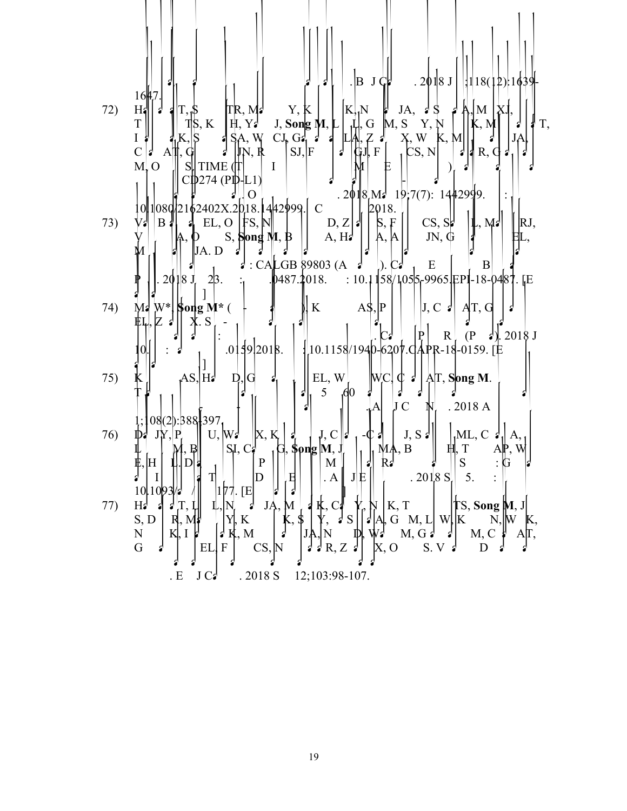

19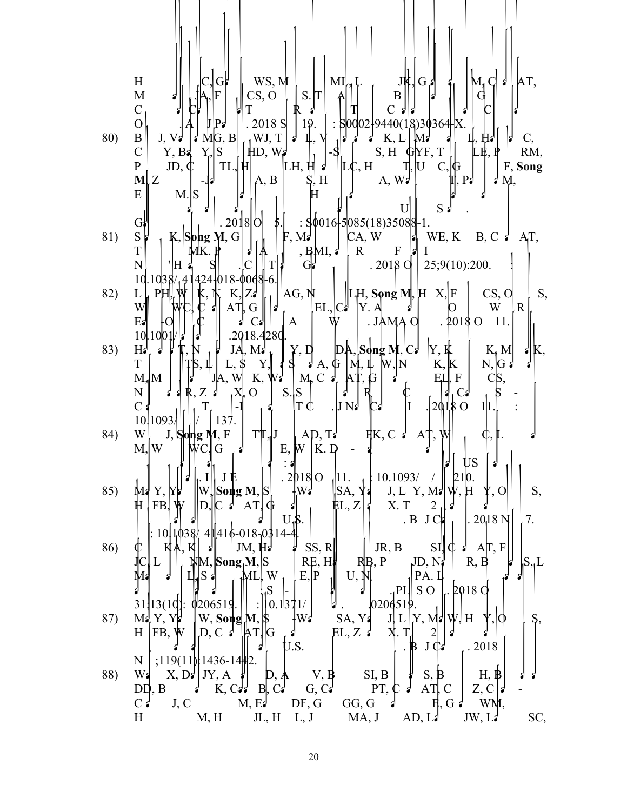Huttenhower C, Garrett WS, Meyerson ML, Lennerz JK, Giannakis M, Chan AT, Meyerhardt JA, Fuchs CS, Ogino S. The Amount of Bifidobacterium Genus in Colorectal Carcinoma Tissue in Relation to Tumor Characteristics and Clinical Outcome. Am J Pathol. 2018 Sep 19. pii: S0002-9440(18)30364-X. 80) Butt J, Varga MG, Blot WJ, Teras L, Visvanathan K, Le Marchand L, Haiman C, Chen Y, Bao Y, Sesso HD, Wassertheil-Smoller S, Ho GYF, Tinker LE, Peek RM, Potter JD, Cover TL, Hendrix LH, Huang LC, Hyslop T, Um C, Grodstein F, **Song M**, Zeleniuch-Jacquotte A, Berndt S, Hildesheim A, Waterboer T, Pawlita M, Epplein M. Serological response to Helicobacter pylori proteins associate with risk of colorectal cancer among diverse populations in the United States. Gastroenterology. 2018 Oct 5. pii: S0016-5085(18)35088-1. 81) Staller K, **Song M**, Grodstein F, Matthews CA, Whitehead WE, Kuo B, Chan AT, Townsend MK. Physical Activity, BMI, and Risk of Fecal Incontinence in the Nurses' Health Study. Clin Transl Gastroenterol. 2018 Oct 25;9(10):200. doi: 10.1038/s41424-018-0068-6. 82) Liu PH, Wu K, Ng K, Zauber AG, Nguyen LH, **Song M**, He X, Fuchs CS, Ogino S, Willett WC, Chan AT, Giovannucci EL, Cao Y. Association of Obesity With Risk of Early-Onset Colorectal Cancer Among Women. JAMA Oncol. 2018 Oct 11. doi: 10.1001/jamaoncol.2018.4280. 83) Hamada T, Nowak JA, Masugi Y, Drew DA, **Song M**, Cao Y, Kosumi K, Mima K, Twombly TS, Liu L, Shi Y, da Silva A, Gu M, Li W, Nosho K, Keum N, Giannakis M, Meyerhardt JA, Wu K, Wang M, Chan AT, Giovannucci EL, Fuchs CS, Nishihara R, Zhang X, Ogino S. Smoking and Risk of Colorectal Cancer Sub-Classified by Tumor-Infiltrating T Cells. J Natl Cancer Inst. 2018 Oct 11. doi: 10.1093/jnci/djy137. 84) Wirth J, **Song M**, Fung TT, Joshi AD, Tabung FK, Chan AT, Weikert C, Leitzmann M, Willett WC, Giovannucci E, Wu K. Diet-quality scores and the risk of symptomatic gallstone disease: a prospective cohort study of male US health professionals. Int J Epidemiol. 2018 Oct 11. doi: 10.1093/ije/dyy210. 85) Ma Y, Yang W, **Song M**, Smith-Warner SA, Yang J, Li Y, Ma W, Hu Y, Ogino S, Hu FB, Wen D, Chan AT, Giovannucci EL, Zhang X. Type 2 diabetes and risk of colorectal cancer in two large U.S. prospective cohorts. Br J Cancer. 2018 Nov 7. doi: 10.1038/s41416-018-0314-4. 86) Chun KA, Kocarnik JM, Hardikar SS, Robinson JR, Berndt SI, Chan AT, Figueiredo JC, Lindor NM, **Song M**, Schoen RE, Hayes RB, Potter JD, Nassir R, Bézieau S, Le Marchand L, Slattery ML, White E, Peters U, Newcomb PA. Leptin gene variants and colorectal cancer risk: Sex-specific associations. PLoS One. 2018 Oct 31;13(10):e0206519. doi: 10.1371/journal.pone.0206519. 87) Ma Y, Yang W, **Song M**, Smith-Warner SA, Yang J, Li Y, Ma W, Hu Y, Ogino S, Hu FB, Wen D, Chan AT, Giovannucci EL, Zhang X. Type 2 diabetes and risk of colorectal cancer in two large U.S. prospective cohorts. Br J Cancer. 2018 Nov;119(11):1436-1442. 88) Wang X, Dai JY, Albanes D, Arndt V, Berndt SI, Bézieau S, Brenner H, Buchanan DD, Butterbach K, Caan B, Casey G, Campbell PT, Chan AT, Chen Z, Chang-Claude J, Cotterchio M, Easton DF, Giles GG, Giovannucci E, Grady WM, Hoffmeister M, Hopper JL, Hsu L, Jenkins MA, Joshi AD, Lampe JW, Larsson SC,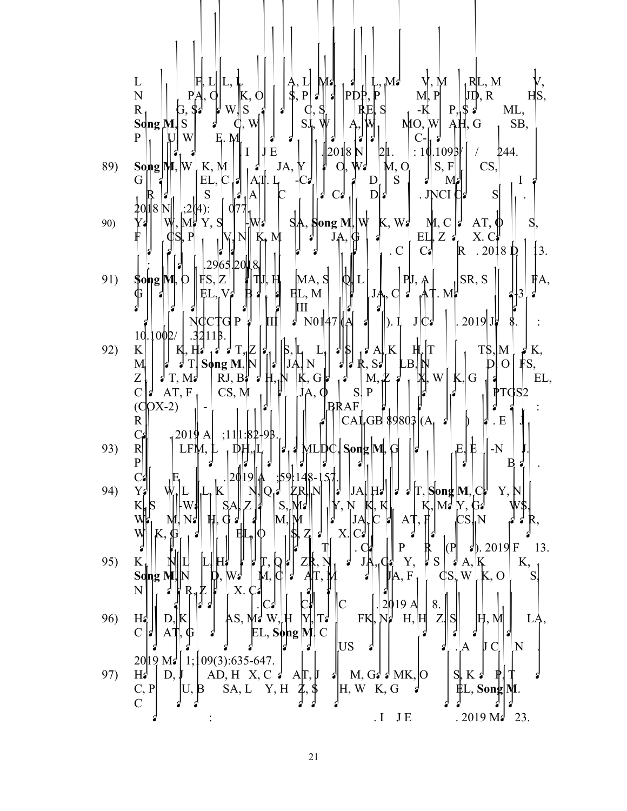L<br>
N<br>
R, PA, Q<br>
C, S, P<br>
C, S, P<br>
C, S, P<br>
R, P<br>
R, P<br>
R, P<br>
R, P<br>
R, P<br>
R, P<br>
R, P<br>
P, S, P<br>
R, P<br>
R, P<br>
P, R<br>
P, R<br>
P, R<br>
P, R<br>
P, R<br>
P, R<br>
P, R<br>
P, R<br>
P, R<br>
P, R<br>
P, R<br>
P, R<br>
P, R<br>
P, R<br>
P, R<br>
P, R<br>
P, R<br>
P, R<br>
P, R<br>
P Song M, S 3 C, W J SI, W A, W MO, W AH, G SB,<br>P  $\begin{bmatrix} U, W \\ U, S \end{bmatrix}$  E, M  $\begin{bmatrix} 1 \\ 1 \end{bmatrix}$  J  $\begin{bmatrix} 1 \\ 2 \end{bmatrix}$  SI, W J A, W MO, W AH, G SB, 89) Song M, W K, M J 3 JA, Y J 0, W<sub>3</sub> M, O S, F G CS, I J  $\begin{bmatrix} S, F \\ S \end{bmatrix}$  CS, I J  $\begin{bmatrix} S, K \\ K, K \end{bmatrix}$  EL, C  $\begin{bmatrix} 1 & 3 & JA, Y \\ A, T & L & -Cs \\ S & Cs & 1 & D \end{bmatrix}$  S  $\begin{bmatrix} S, F \\ S \end{bmatrix}$  CS, I  $\begin{bmatrix} S, F \\ M, C \end{bmatrix}$  CS, I  $\begin{b$ 20118 N|| |;2(|4): | 0|77|, 90)  $Y = \begin{bmatrix} \n\mathbf{W}, \mathbf{M}^{\mathsf{T}} & \mathbf{Y}, \mathbf{S} \\
\mathbf{S}, \mathbf{P} \\
\mathbf{S}, \mathbf{P} \\
\mathbf{S}, \mathbf{P} \\
\mathbf{S}, \mathbf{P} \\
\mathbf{S}, \mathbf{P} \\
\mathbf{S}, \mathbf{P} \\
\mathbf{S}, \mathbf{P} \\
\mathbf{S}, \mathbf{P} \\
\mathbf{S}, \mathbf{P} \\
\mathbf{S}, \mathbf{P} \\
\mathbf{S}, \mathbf{P} \\
\mathbf{S}, \mathbf{P} \\
\mathbf{S}, \mathbf{P} \\
\mathbf{S$ 91) Song M, O FS, Z H TU, H MA, S Q L J, C 3 AT M SR, S 3 3 FA, 10.100<sub>2</sub> 92) Kosumi K, Hamada T, Zhang S, Liu L, da Silva A, Koh H, Twombly TS, Mima K, Morikawa T, **Song M**, Nowak JA, Nishihara R, Saltz LB, Niedzwiecki D, Ou FS, Zemla T, Mayer RJ, Baba H, Ng K, Giannakis M, Zhang X, Wu K, Giovannucci EL, Chan AT, Fuchs CS, Meyerhardt JA, Ogino S. Prognostic association of PTGS2  $\begin{bmatrix} \text{C}\text{O}(\text{C})\text{O}(\text{C})\ \text{R} & \text{R} & \text{R} \\ \text{C}\text{C}\text{O} & \text{R} & \text{R} & \text{R} \\ \text{C}\text{O} & \text{R} & \text{R} & \text{R} \end{bmatrix}$ 93) Reperint LFM, Lee DH, Lee DH, Louis MLDC, Song M, Giovannic E, E, Ele Neto J. Proportion of cases and deaths attributes and deaths attributes and deaths at the cases of cases in Brazil. Cancer Epidemiol. Cancer Epidem 94) Yang W, L<sub>i</sub>u, Kaum N, Qazik ZR, Najira JA, Hamada T, Song M, Cao Y, 1<br>K<sub>u</sub> S || Wan || SA, Za || S, Ma || N, N, K, K, K, K, Ma Y, Ga K S M, N: H, G : H, G : M, M M, M M, K K K K, M X, G W\$, 95) K $_{\rm b}$  N, N, L, H, F, Q, T, Q, T, T,  $_{\rm b}$  T,  $_{\rm b}$  T,  $_{\rm d}$ , T,  $_{\rm d}$ , C, Y, J, S, J, A, K K, **Song M, N** D, Wang M, C and AT, Meyerhardt JA, F<sub>N</sub> CS, W K, O S, Nishihara R, Zhang X. Cancer R, Zhang X. Cancer R, Zhang 2019 Apr 8. Cancer R, Cancer Causes Control. Cancer Causes Control. Cancer Causes Control. 2019 A 96) Hz D, K B AS, Mz W, H Y, Tz<br>
C A AT, G C EL, Song M C US :<br>
2019 Mz 1; 109(3):635-647. 97) H<sub>2</sub> D, J AD, H X, C <sup>3</sup> AT, J <sup>3</sup> M, G <sup>3</sup> MK, O S, K <sup>3</sup> P T <sup>3</sup><br>C, P U, B SA, L Y, H Z, S H, W K, G <sup>3</sup> EL, Song M.<br>I JE . 2019 M<sup>2</sup> 23.

21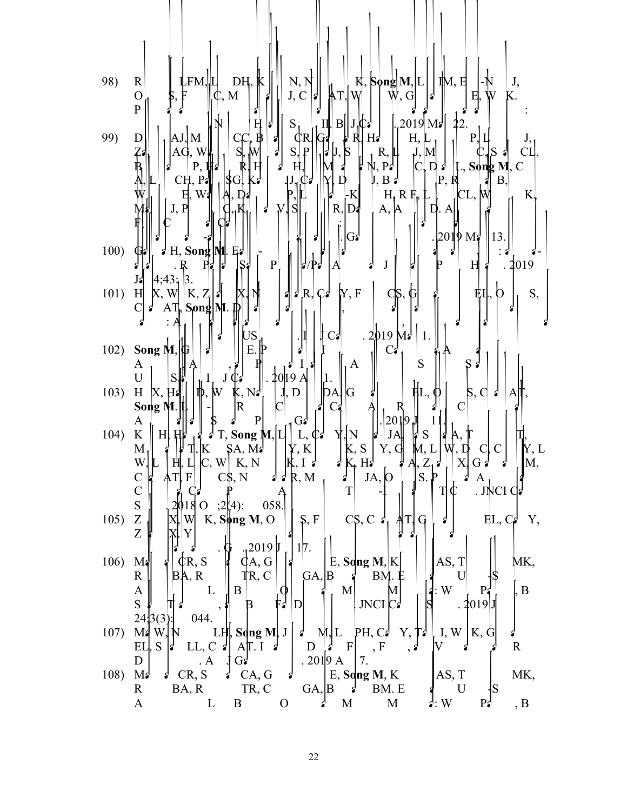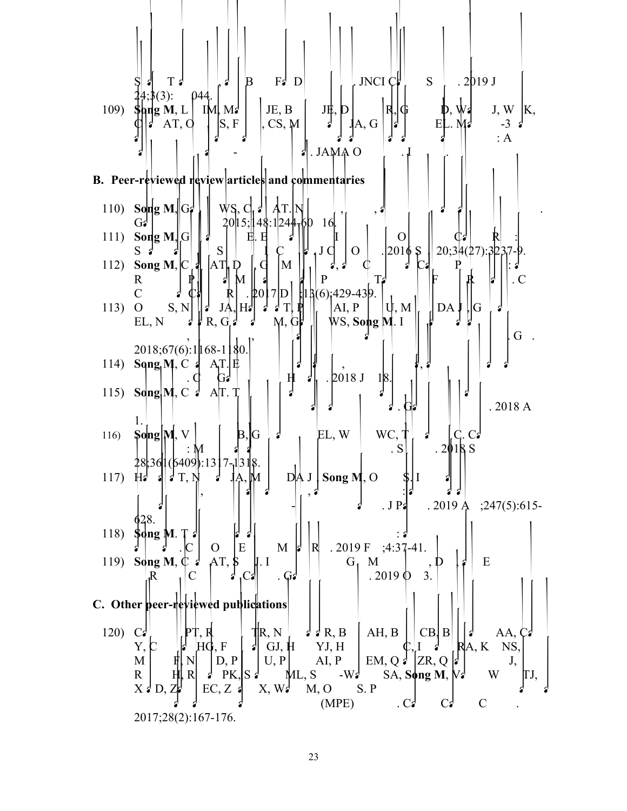